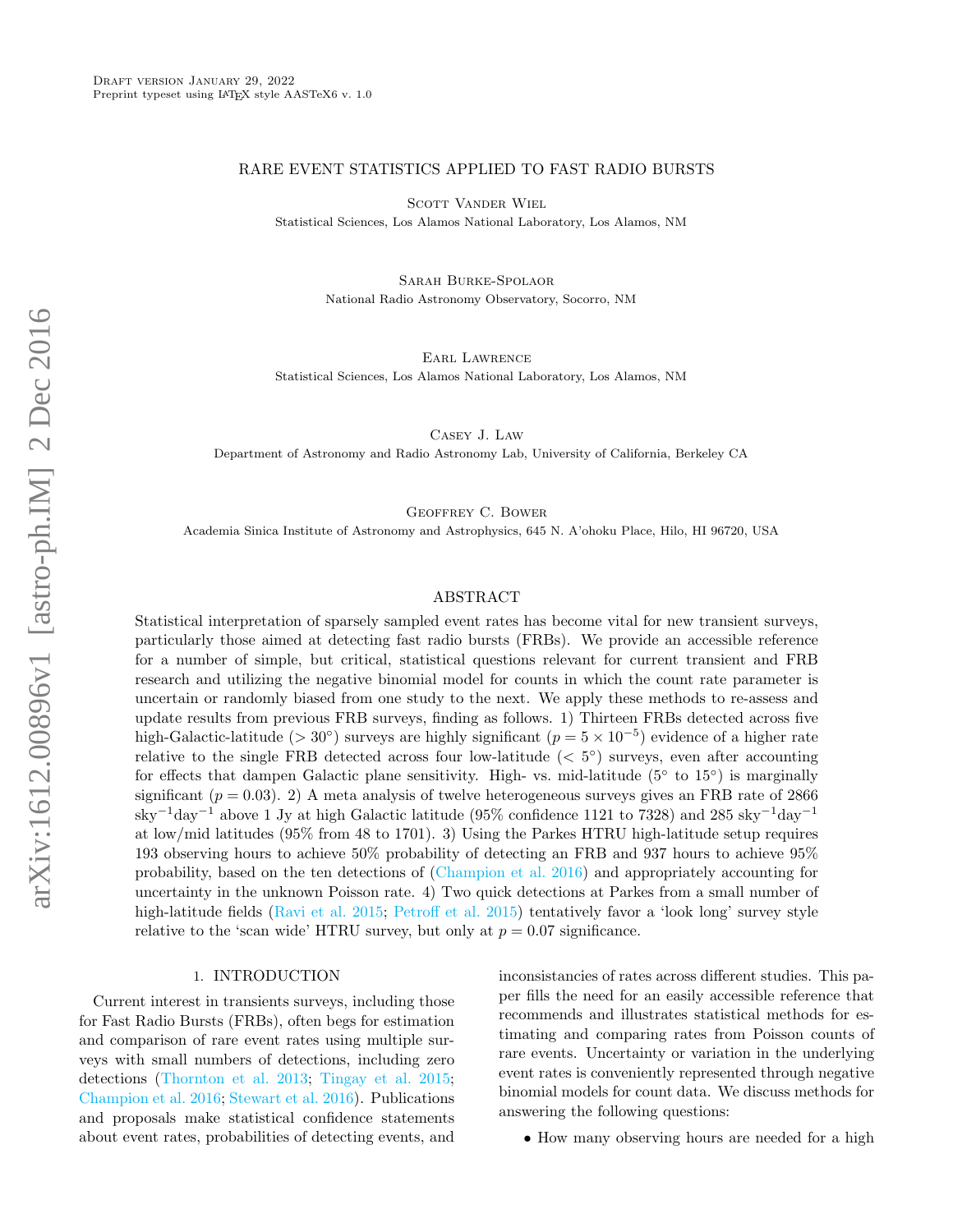### RARE EVENT STATISTICS APPLIED TO FAST RADIO BURSTS

SCOTT VANDER WIEL

Statistical Sciences, Los Alamos National Laboratory, Los Alamos, NM

Sarah Burke-Spolaor National Radio Astronomy Observatory, Socorro, NM

Earl Lawrence Statistical Sciences, Los Alamos National Laboratory, Los Alamos, NM

Casey J. Law

Department of Astronomy and Radio Astronomy Lab, University of California, Berkeley CA

Geoffrey C. Bower

Academia Sinica Institute of Astronomy and Astrophysics, 645 N. A'ohoku Place, Hilo, HI 96720, USA

### ABSTRACT

Statistical interpretation of sparsely sampled event rates has become vital for new transient surveys, particularly those aimed at detecting fast radio bursts (FRBs). We provide an accessible reference for a number of simple, but critical, statistical questions relevant for current transient and FRB research and utilizing the negative binomial model for counts in which the count rate parameter is uncertain or randomly biased from one study to the next. We apply these methods to re-assess and update results from previous FRB surveys, finding as follows. 1) Thirteen FRBs detected across five high-Galactic-latitude (> 30°) surveys are highly significant ( $p = 5 \times 10^{-5}$ ) evidence of a higher rate relative to the single FRB detected across four low-latitude  $( $5^{\circ}$ )$  surveys, even after accounting for effects that dampen Galactic plane sensitivity. High- vs. mid-latitude  $(5°$  to  $15°)$  is marginally significant ( $p = 0.03$ ). 2) A meta analysis of twelve heterogeneous surveys gives an FRB rate of 2866 sky<sup>-1</sup>day<sup>-1</sup> above 1 Jy at high Galactic latitude (95% confidence 1121 to 7328) and 285 sky<sup>-1</sup>day<sup>-1</sup> at low/mid latitudes (95% from 48 to 1701). 3) Using the Parkes HTRU high-latitude setup requires 193 observing hours to achieve 50% probability of detecting an FRB and 937 hours to achieve 95% probability, based on the ten detections of [\(Champion et al.](#page-14-0) [2016\)](#page-14-0) and appropriately accounting for uncertainty in the unknown Poisson rate. 4) Two quick detections at Parkes from a small number of high-latitude fields [\(Ravi et al.](#page-14-1) [2015;](#page-14-1) [Petroff et al.](#page-14-2) [2015\)](#page-14-2) tentatively favor a 'look long' survey style relative to the 'scan wide' HTRU survey, but only at  $p = 0.07$  significance.

#### 1. INTRODUCTION

Current interest in transients surveys, including those for Fast Radio Bursts (FRBs), often begs for estimation and comparison of rare event rates using multiple surveys with small numbers of detections, including zero detections [\(Thornton et al.](#page-14-3) [2013;](#page-14-3) [Tingay et al.](#page-14-4) [2015;](#page-14-4) [Champion et al.](#page-14-0) [2016;](#page-14-0) [Stewart et al.](#page-14-5) [2016\)](#page-14-5). Publications and proposals make statistical confidence statements about event rates, probabilities of detecting events, and inconsistancies of rates across different studies. This paper fills the need for an easily accessible reference that recommends and illustrates statistical methods for estimating and comparing rates from Poisson counts of rare events. Uncertainty or variation in the underlying event rates is conveniently represented through negative binomial models for count data. We discuss methods for answering the following questions:

• How many observing hours are needed for a high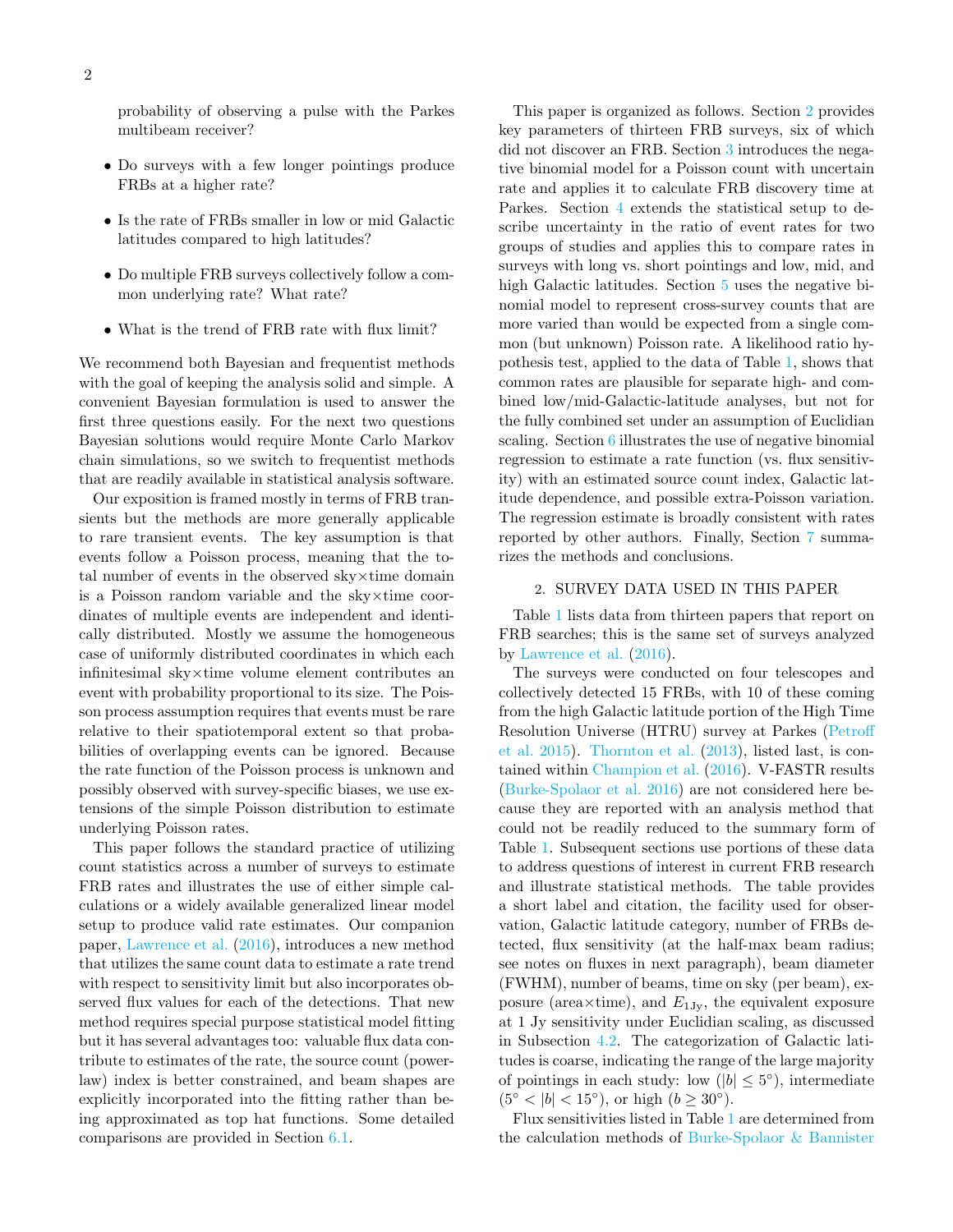probability of observing a pulse with the Parkes multibeam receiver?

- Do surveys with a few longer pointings produce FRBs at a higher rate?
- Is the rate of FRBs smaller in low or mid Galactic latitudes compared to high latitudes?
- Do multiple FRB surveys collectively follow a common underlying rate? What rate?
- What is the trend of FRB rate with flux limit?

We recommend both Bayesian and frequentist methods with the goal of keeping the analysis solid and simple. A convenient Bayesian formulation is used to answer the first three questions easily. For the next two questions Bayesian solutions would require Monte Carlo Markov chain simulations, so we switch to frequentist methods that are readily available in statistical analysis software.

Our exposition is framed mostly in terms of FRB transients but the methods are more generally applicable to rare transient events. The key assumption is that events follow a Poisson process, meaning that the total number of events in the observed sky×time domain is a Poisson random variable and the sky×time coordinates of multiple events are independent and identically distributed. Mostly we assume the homogeneous case of uniformly distributed coordinates in which each infinitesimal sky×time volume element contributes an event with probability proportional to its size. The Poisson process assumption requires that events must be rare relative to their spatiotemporal extent so that probabilities of overlapping events can be ignored. Because the rate function of the Poisson process is unknown and possibly observed with survey-specific biases, we use extensions of the simple Poisson distribution to estimate underlying Poisson rates.

This paper follows the standard practice of utilizing count statistics across a number of surveys to estimate FRB rates and illustrates the use of either simple calculations or a widely available generalized linear model setup to produce valid rate estimates. Our companion paper, [Lawrence et al.](#page-14-6) [\(2016\)](#page-14-6), introduces a new method that utilizes the same count data to estimate a rate trend with respect to sensitivity limit but also incorporates observed flux values for each of the detections. That new method requires special purpose statistical model fitting but it has several advantages too: valuable flux data contribute to estimates of the rate, the source count (powerlaw) index is better constrained, and beam shapes are explicitly incorporated into the fitting rather than being approximated as top hat functions. Some detailed comparisons are provided in Section [6.1.](#page-8-0)

This paper is organized as follows. Section [2](#page-1-0) provides key parameters of thirteen FRB surveys, six of which did not discover an FRB. Section [3](#page-3-0) introduces the negative binomial model for a Poisson count with uncertain rate and applies it to calculate FRB discovery time at Parkes. Section [4](#page-4-0) extends the statistical setup to describe uncertainty in the ratio of event rates for two groups of studies and applies this to compare rates in surveys with long vs. short pointings and low, mid, and high Galactic latitudes. Section [5](#page-7-0) uses the negative binomial model to represent cross-survey counts that are more varied than would be expected from a single common (but unknown) Poisson rate. A likelihood ratio hypothesis test, applied to the data of Table [1,](#page-2-0) shows that common rates are plausible for separate high- and combined low/mid-Galactic-latitude analyses, but not for the fully combined set under an assumption of Euclidian scaling. Section [6](#page-8-1) illustrates the use of negative binomial regression to estimate a rate function (vs. flux sensitivity) with an estimated source count index, Galactic latitude dependence, and possible extra-Poisson variation. The regression estimate is broadly consistent with rates reported by other authors. Finally, Section [7](#page-12-0) summarizes the methods and conclusions.

### 2. SURVEY DATA USED IN THIS PAPER

<span id="page-1-0"></span>Table [1](#page-2-0) lists data from thirteen papers that report on FRB searches; this is the same set of surveys analyzed by [Lawrence et al.](#page-14-6) [\(2016\)](#page-14-6).

The surveys were conducted on four telescopes and collectively detected 15 FRBs, with 10 of these coming from the high Galactic latitude portion of the High Time Resolution Universe (HTRU) survey at Parkes [\(Petroff](#page-14-2) [et al.](#page-14-2) [2015\)](#page-14-2). [Thornton et al.](#page-14-3) [\(2013\)](#page-14-3), listed last, is contained within [Champion et al.](#page-14-0) [\(2016\)](#page-14-0). V-FASTR results [\(Burke-Spolaor et al.](#page-14-7) [2016\)](#page-14-7) are not considered here because they are reported with an analysis method that could not be readily reduced to the summary form of Table [1.](#page-2-0) Subsequent sections use portions of these data to address questions of interest in current FRB research and illustrate statistical methods. The table provides a short label and citation, the facility used for observation, Galactic latitude category, number of FRBs detected, flux sensitivity (at the half-max beam radius; see notes on fluxes in next paragraph), beam diameter (FWHM), number of beams, time on sky (per beam), exposure (area $\times$ time), and  $E_{1J_v}$ , the equivalent exposure at 1 Jy sensitivity under Euclidian scaling, as discussed in Subsection [4.2.](#page-5-0) The categorization of Galactic latitudes is coarse, indicating the range of the large majority of pointings in each study: low  $(|b| \leq 5^{\circ})$ , intermediate  $(5<sup>°</sup> < |b| < 15<sup>°</sup>)$ , or high  $(b \ge 30<sup>°</sup>)$ .

Flux sensitivities listed in Table [1](#page-2-0) are determined from the calculation methods of [Burke-Spolaor & Bannister](#page-14-8)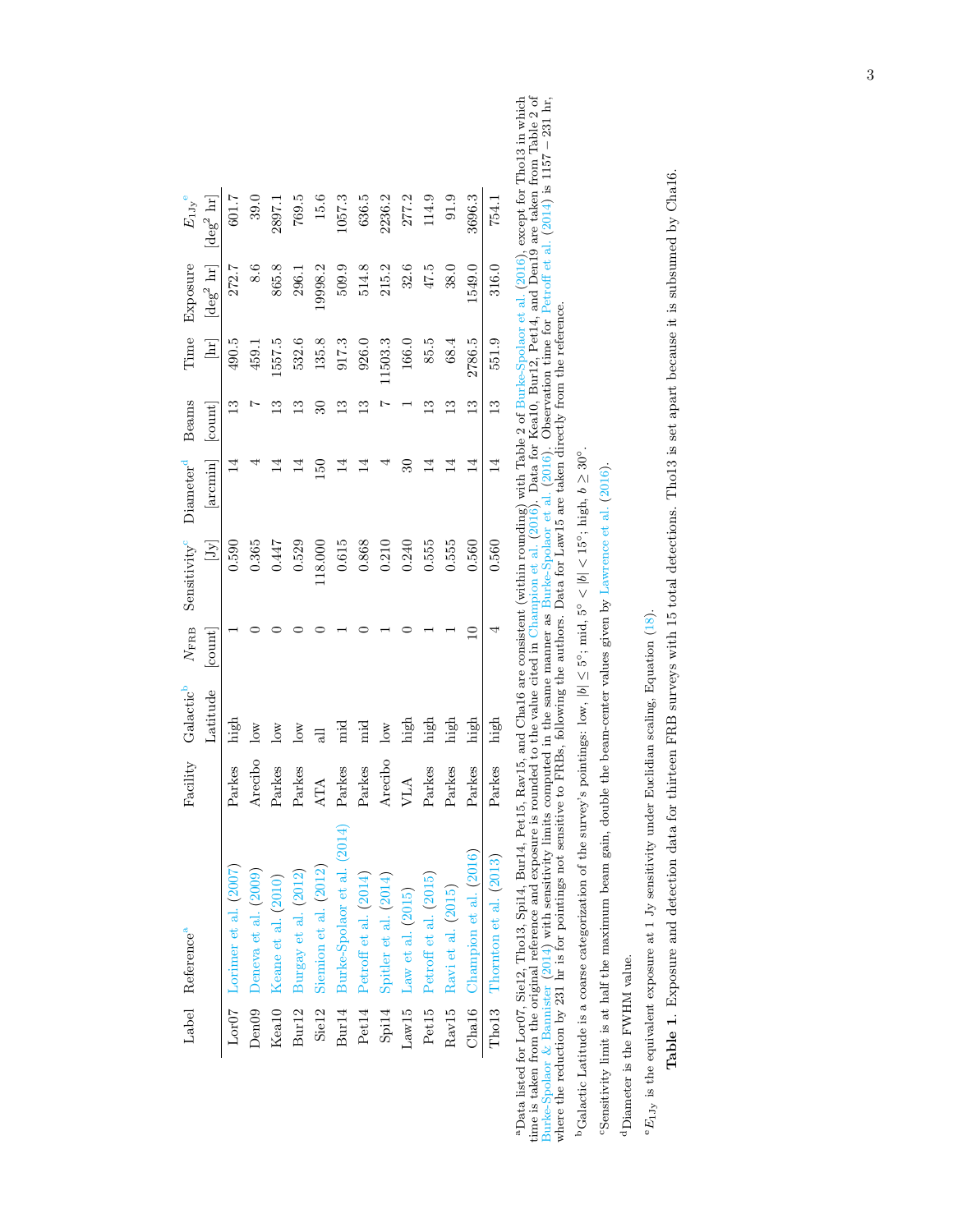|                   | Label Reference <sup>a</sup>                                                                                                                                 |            | Facility Galactic <sup>b</sup> | $N_{\rm FRB}$               | Sensitivity <sup>c</sup>                                                                                                                                                                                                                                                                   | Diameter <sup>d</sup> | Beams        | Time                | Exposure          | $E_{1 \rm Jy}$ e  |
|-------------------|--------------------------------------------------------------------------------------------------------------------------------------------------------------|------------|--------------------------------|-----------------------------|--------------------------------------------------------------------------------------------------------------------------------------------------------------------------------------------------------------------------------------------------------------------------------------------|-----------------------|--------------|---------------------|-------------------|-------------------|
|                   |                                                                                                                                                              |            | Latitude                       | $\left[\text{count}\right]$ | $[Jy] \centering% \includegraphics[width=1\textwidth]{Figures/PN1.png} \caption{The 3D (top) and the 4D (bottom) of the 3D (bottom) and the 3D (bottom) of the 3D (bottom) and the 3D (bottom) of the 3D (bottom). The 3D (bottom) and the 3D (bottom) of the 3D (bottom).} \label{fig:1}$ | [arcmin]              | count        | $\boxed{\text{hr}}$ | $\rm [deg^2\ hr]$ | $\rm [deg^2\,hr]$ |
|                   | Lor07 Lorimer et al. (2007)                                                                                                                                  | Parkes     | high                           |                             | 0.590                                                                                                                                                                                                                                                                                      |                       |              | 490.5               | 272.7             | 601.7             |
|                   | Den09 Deneva et al. (2009)                                                                                                                                   | Arecibo    | $_{\text{low}}$                |                             | 0.365                                                                                                                                                                                                                                                                                      |                       |              | 459.1               | 8.6               | 39.0              |
|                   | Keal0 Keane et al. (2010)                                                                                                                                    | Parkes     | $\log$                         |                             | 0.447                                                                                                                                                                                                                                                                                      |                       |              | 1557.5              | 865.8             | 2897.1            |
|                   | Bur12 Burgay et al. (2012)                                                                                                                                   | Parkes     | $\overline{\text{low}}$        |                             | 0.529                                                                                                                                                                                                                                                                                      |                       |              | 532.6               | 296.1             | 769.5             |
| Sie <sub>12</sub> | Siemion et al. (2012)                                                                                                                                        | <b>ATA</b> |                                |                             | .18.000                                                                                                                                                                                                                                                                                    | 150                   |              | 135.8               | 9998.2            | 15.6              |
|                   | $2014^\circ$<br>Bur14 Burke-Spolaor et al. ('                                                                                                                | Parkes     | .<br>ਜ਼ਿ                       |                             | 0.615                                                                                                                                                                                                                                                                                      |                       |              | 917.3               | 509.9             | 1057.3            |
| Pet14             | Petroff et al. (2014)                                                                                                                                        | Parkes     | тіd                            |                             | 0.868                                                                                                                                                                                                                                                                                      |                       |              | 926.0               | 514.8             | 636.5             |
|                   | Spi14 Spitler et al. (2014)                                                                                                                                  | Arecibo    | $_{\text{low}}$                |                             | 0.210                                                                                                                                                                                                                                                                                      |                       |              | 11503.3             | 215.2             | 2236.2            |
|                   | Law15 Law et al. $(2015)$                                                                                                                                    | <b>VLA</b> | high                           |                             | 0.240                                                                                                                                                                                                                                                                                      |                       |              | 166.0               | 32.6              | 277.2             |
| Pet <sub>15</sub> | Petroff et al. (2015)                                                                                                                                        | Parkes     | high                           |                             | 0.555                                                                                                                                                                                                                                                                                      | ₹                     |              | 85.5                | 47.5              | 114.9             |
|                   | Rav15 Ravi et al. (2015)                                                                                                                                     | Parkes     | high                           |                             | 0.555                                                                                                                                                                                                                                                                                      |                       |              | 68.4                | 38.0              | 91.9              |
|                   | Cha16 Champion et al. (2016                                                                                                                                  | Parkes     | high                           |                             | 0.560                                                                                                                                                                                                                                                                                      | ゴ                     | ≌            | 2786.5              | 1549.0            | 3696.3            |
|                   | Tho13 Thornton et al. (2013)                                                                                                                                 | Parkes     | high                           |                             | 0.560                                                                                                                                                                                                                                                                                      | ⊻                     | $\mathbb{C}$ | 551.9               | 316.0             | 754.1             |
|                   | for Lor07, Sie12, Tho13, Spi14, Bur14, Pet15, Rav15, and Cha16 are consistent (within rounding) with Table 2 of Burke-Spolaor et al. (2016), except for Tho1 |            |                                |                             |                                                                                                                                                                                                                                                                                            |                       |              |                     |                   |                   |
|                   |                                                                                                                                                              |            |                                |                             |                                                                                                                                                                                                                                                                                            |                       |              |                     |                   |                   |

<span id="page-2-5"></span><span id="page-2-4"></span><span id="page-2-3"></span><span id="page-2-1"></span><span id="page-2-0"></span><sup>a</sup>Data listed for Lor07, Sie12, Tho13, Spi14, Bur14, Pet15, Rav15, and Cha16 are consistent (within rounding) with Table 2 of Burke-Spolaor et al. (2016), except for Tho13 in which<br>time is taken from the original referen  ${}^{\text{a}}$ Data listed for Lor07, Sie12, Tho13, Spi14, Bur14, Pet15, Rav15, and Cha16 are consistent (within rounding) with Table 2 of [Burke-Spolaor](#page-14-7) et al. ([2016\)](#page-14-7), except for Tho13 in which time is taken from the original reference and exposure is rounded to the value cited in [Champion](#page-14-0) et al. [\(2016\)](#page-14-0). Data for Kea10, Bur12, Pet14, and Den19 are taken from Table 2 of [Burke-Spolaor](#page-14-7) & Bannister [\(2014\)](#page-14-8) with sensitivity limits computed in the same manner as Burke-Spolaor et al. [\(2016\)](#page-14-7). Observation time for [Petroff](#page-14-14) et al. ([2014\)](#page-14-14) is 1157 − 231 hr,<br>where the reduction by 231 hr, is for point where the reduction by 231 hr is for pointings not sensitive to FRBs, following the authors. Data for Law15 are taken directly from the reference.

<sup>b</sup>Galactic Latitude is a coarse categorization of the survey's pointings: low,  $|b| \leq 5^{\circ}$ ; mid,  $5^{\circ} < |b| < 15^{\circ}$ ; high,  $b \geq 30^{\circ}$ . **bGalactic Latitude is a coarse categorization of the survey's pointings: low,**  $|b| \leq 5^\circ$ **; mid,**  $5^\circ < |b| < 15^\circ$ **; high,**  $b \geq 30^\circ$ **.** 

"Sensitivity limit is at half the maximum beam gain, double the beam-center values given by Lawrence et al. (2016). cSensitivity limit is at half the maximum beam gain, double the beam-center values given by [Lawrence](#page-14-6) et al. [\(2016\)](#page-14-6).

<span id="page-2-2"></span> $^{\rm d}$  Diameter is the FWHM value. dDiameter is the FWHM value.

 $^{\rm e}E_{1\rm Jy}$  is the equivalent exposure at 1 Jy sensitivity under Euclidian scaling, Equation (18).  ${}^eE_{1,jy}$  is the equivalent exposure at 1 Jy sensitivity under Euclidian scaling, Equation [\(18\)](#page-6-0). Table 1. Exposure and detection data for thirteen FRB surveys with 15 total detections. Tho13 is set apart because it is subsumed by Cha16. Table 1. Exposure and detection data for thirteen FRB surveys with 15 total detections. Tho13 is set apart because it is subsumed by Cha16.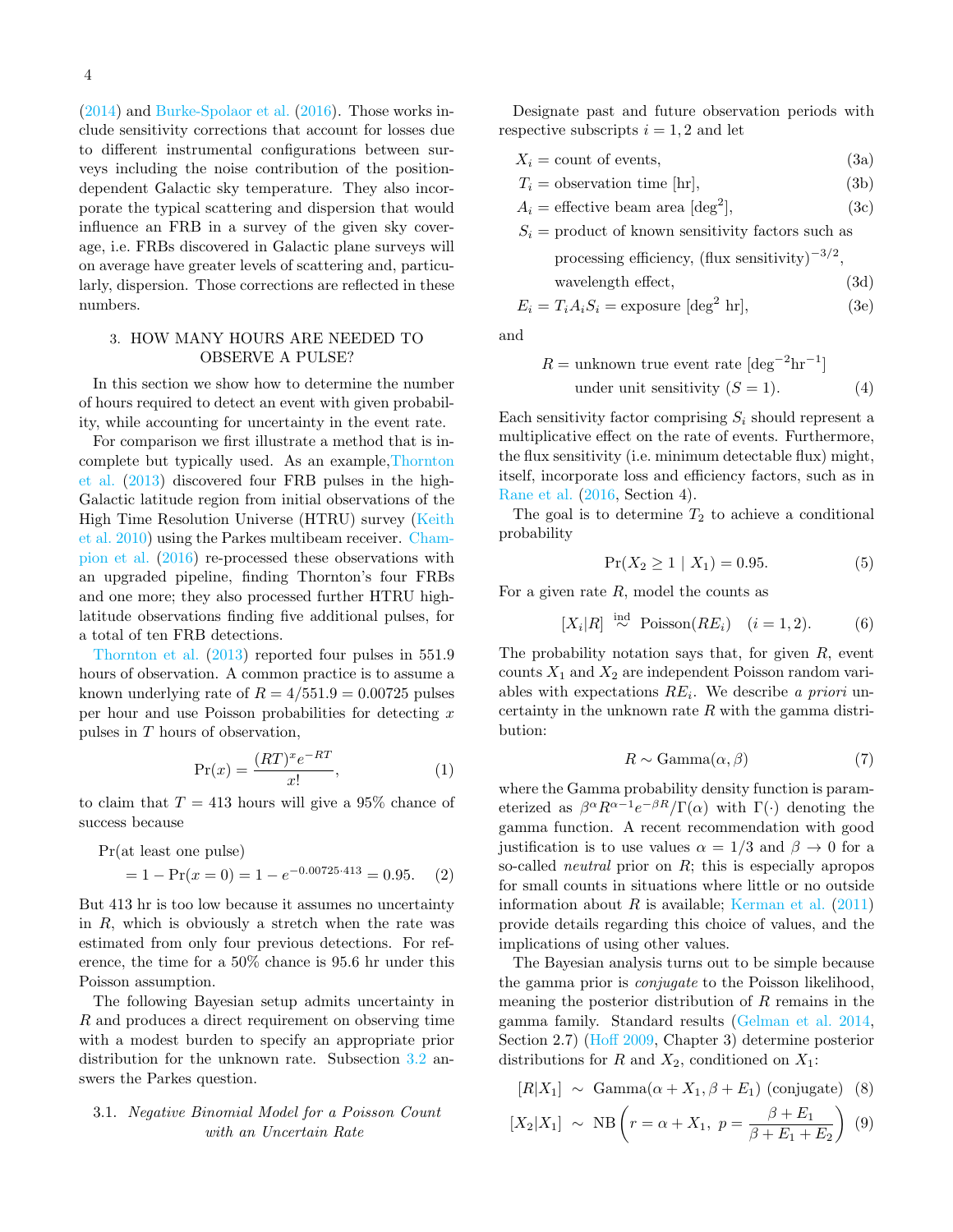[\(2014\)](#page-14-8) and [Burke-Spolaor et al.](#page-14-7) [\(2016\)](#page-14-7). Those works include sensitivity corrections that account for losses due to different instrumental configurations between surveys including the noise contribution of the positiondependent Galactic sky temperature. They also incorporate the typical scattering and dispersion that would influence an FRB in a survey of the given sky coverage, i.e. FRBs discovered in Galactic plane surveys will on average have greater levels of scattering and, particularly, dispersion. Those corrections are reflected in these numbers.

### <span id="page-3-0"></span>3. HOW MANY HOURS ARE NEEDED TO OBSERVE A PULSE?

In this section we show how to determine the number of hours required to detect an event with given probability, while accounting for uncertainty in the event rate.

For comparison we first illustrate a method that is incomplete but typically used. As an example[,Thornton](#page-14-3) [et al.](#page-14-3) [\(2013\)](#page-14-3) discovered four FRB pulses in the high-Galactic latitude region from initial observations of the High Time Resolution Universe (HTRU) survey [\(Keith](#page-14-17) [et al.](#page-14-17) [2010\)](#page-14-17) using the Parkes multibeam receiver. [Cham](#page-14-0)[pion et al.](#page-14-0) [\(2016\)](#page-14-0) re-processed these observations with an upgraded pipeline, finding Thornton's four FRBs and one more; they also processed further HTRU highlatitude observations finding five additional pulses, for a total of ten FRB detections.

[Thornton et al.](#page-14-3) [\(2013\)](#page-14-3) reported four pulses in 551.9 hours of observation. A common practice is to assume a known underlying rate of  $R = 4/551.9 = 0.00725$  pulses per hour and use Poisson probabilities for detecting  $x$ pulses in T hours of observation,

$$
\Pr(x) = \frac{(RT)^x e^{-RT}}{x!},\tag{1}
$$

to claim that  $T = 413$  hours will give a 95% chance of success because

$$
Pr(at least one pulse)
$$
  
= 1 -  $Pr(x = 0) = 1 - e^{-0.00725 \cdot 413} = 0.95.$  (2)

But 413 hr is too low because it assumes no uncertainty in  $R$ , which is obviously a stretch when the rate was estimated from only four previous detections. For reference, the time for a 50% chance is 95.6 hr under this Poisson assumption.

The following Bayesian setup admits uncertainty in R and produces a direct requirement on observing time with a modest burden to specify an appropriate prior distribution for the unknown rate. Subsection [3.2](#page-4-1) answers the Parkes question.

## <span id="page-3-5"></span>3.1. Negative Binomial Model for a Poisson Count with an Uncertain Rate

Designate past and future observation periods with respective subscripts  $i = 1, 2$  and let

<span id="page-3-2"></span>
$$
X_i = \text{count of events},\tag{3a}
$$

$$
T_i = \text{observation time [hr]},\tag{3b}
$$

$$
A_i = \text{effective beam area [deg}^2],\tag{3c}
$$

 $S_i$  = product of known sensitivity factors such as processing efficiency,  $(\text{flux sensitivity})^{-3/2}$ ,

<span id="page-3-7"></span><span id="page-3-3"></span>
$$
wavelength effect, \t(3d)
$$

$$
E_i = T_i A_i S_i = \text{exposure } [\text{deg}^2 \text{ hr}], \tag{3e}
$$

and

$$
R =
$$
unknown true event rate  $[\text{deg}^{-2}\text{hr}^{-1}]$   
under unit sensitivity  $(S = 1)$ . (4)

Each sensitivity factor comprising  $S_i$  should represent a multiplicative effect on the rate of events. Furthermore, the flux sensitivity (i.e. minimum detectable flux) might, itself, incorporate loss and efficiency factors, such as in [Rane et al.](#page-14-18) [\(2016,](#page-14-18) Section 4).

The goal is to determine  $T_2$  to achieve a conditional probability

<span id="page-3-6"></span>
$$
\Pr(X_2 \ge 1 \mid X_1) = 0.95. \tag{5}
$$

For a given rate  $R$ , model the counts as

$$
[X_i|R] \stackrel{\text{ind}}{\sim} \text{Poisson}(RE_i) \quad (i = 1, 2). \tag{6}
$$

The probability notation says that, for given  $R$ , event counts  $X_1$  and  $X_2$  are independent Poisson random variables with expectations  $RE_i$ . We describe a priori uncertainty in the unknown rate  $R$  with the gamma distribution:

$$
R \sim \text{Gamma}(\alpha, \beta) \tag{7}
$$

<span id="page-3-1"></span>where the Gamma probability density function is parameterized as  $\beta^{\alpha} R^{\alpha-1} e^{-\beta R} / \Gamma(\alpha)$  with  $\Gamma(\cdot)$  denoting the gamma function. A recent recommendation with good justification is to use values  $\alpha = 1/3$  and  $\beta \rightarrow 0$  for a so-called *neutral* prior on R; this is especially apropos for small counts in situations where little or no outside information about  $R$  is available; [Kerman et al.](#page-14-19)  $(2011)$ provide details regarding this choice of values, and the implications of using other values.

The Bayesian analysis turns out to be simple because the gamma prior is conjugate to the Poisson likelihood, meaning the posterior distribution of  $R$  remains in the gamma family. Standard results [\(Gelman et al.](#page-14-20) [2014,](#page-14-20) Section 2.7) [\(Hoff](#page-14-21) [2009,](#page-14-21) Chapter 3) determine posterior distributions for R and  $X_2$ , conditioned on  $X_1$ :

<span id="page-3-4"></span>
$$
[R|X_1] \sim \text{Gamma}(\alpha + X_1, \beta + E_1) \text{ (conjugate) (8)}
$$

$$
[X_2|X_1] \sim \text{NB} \left( r = \alpha + X_1, \ p = \frac{\beta + E_1}{\beta + E_1 + E_2} \right) \tag{9}
$$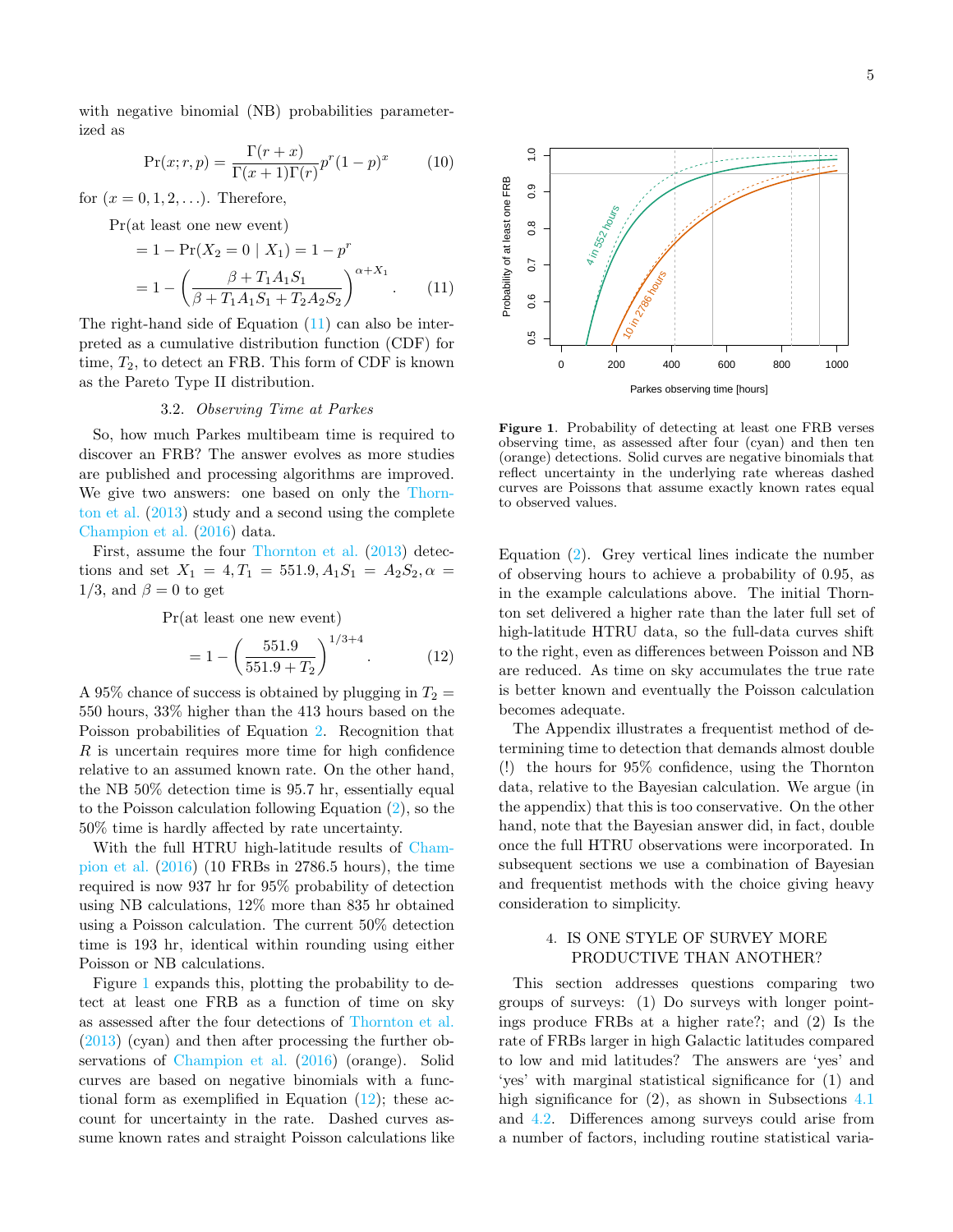with negative binomial (NB) probabilities parameterized as

$$
\Pr(x; r, p) = \frac{\Gamma(r+x)}{\Gamma(x+1)\Gamma(r)} p^r (1-p)^x \tag{10}
$$

for  $(x = 0, 1, 2, \ldots)$ . Therefore,

$$
Pr(at least one new event)
$$

$$
= 1 - \Pr(X_2 = 0 \mid X_1) = 1 - p^r
$$
  
= 
$$
1 - \left(\frac{\beta + T_1 A_1 S_1}{\beta + T_1 A_1 S_1 + T_2 A_2 S_2}\right)^{\alpha + X_1}.
$$
 (11)

The right-hand side of Equation [\(11\)](#page-4-2) can also be interpreted as a cumulative distribution function (CDF) for time,  $T_2$ , to detect an FRB. This form of CDF is known as the Pareto Type II distribution.

#### 3.2. Observing Time at Parkes

<span id="page-4-1"></span>So, how much Parkes multibeam time is required to discover an FRB? The answer evolves as more studies are published and processing algorithms are improved. We give two answers: one based on only the [Thorn](#page-14-3)[ton et al.](#page-14-3) [\(2013\)](#page-14-3) study and a second using the complete [Champion et al.](#page-14-0) [\(2016\)](#page-14-0) data.

First, assume the four [Thornton et al.](#page-14-3) [\(2013\)](#page-14-3) detections and set  $X_1 = 4, T_1 = 551.9, A_1S_1 = A_2S_2, \alpha =$ 1/3, and  $\beta = 0$  to get

Pr(at least one new event)

$$
= 1 - \left(\frac{551.9}{551.9 + T_2}\right)^{1/3 + 4}.
$$
 (12)

A 95% chance of success is obtained by plugging in  $T_2 =$ 550 hours, 33% higher than the 413 hours based on the Poisson probabilities of Equation [2.](#page-3-1) Recognition that  $R$  is uncertain requires more time for high confidence relative to an assumed known rate. On the other hand, the NB 50% detection time is 95.7 hr, essentially equal to the Poisson calculation following Equation [\(2\)](#page-3-1), so the 50% time is hardly affected by rate uncertainty.

With the full HTRU high-latitude results of [Cham](#page-14-0)[pion et al.](#page-14-0) [\(2016\)](#page-14-0) (10 FRBs in 2786.5 hours), the time required is now 937 hr for 95% probability of detection using NB calculations, 12% more than 835 hr obtained using a Poisson calculation. The current 50% detection time is 193 hr, identical within rounding using either Poisson or NB calculations.

Figure [1](#page-4-3) expands this, plotting the probability to detect at least one FRB as a function of time on sky as assessed after the four detections of [Thornton et al.](#page-14-3) [\(2013\)](#page-14-3) (cyan) and then after processing the further observations of [Champion et al.](#page-14-0) [\(2016\)](#page-14-0) (orange). Solid curves are based on negative binomials with a functional form as exemplified in Equation  $(12)$ ; these account for uncertainty in the rate. Dashed curves assume known rates and straight Poisson calculations like

<span id="page-4-2"></span>

<span id="page-4-3"></span>Figure 1. Probability of detecting at least one FRB verses observing time, as assessed after four (cyan) and then ten (orange) detections. Solid curves are negative binomials that reflect uncertainty in the underlying rate whereas dashed curves are Poissons that assume exactly known rates equal to observed values.

Equation [\(2\)](#page-3-1). Grey vertical lines indicate the number of observing hours to achieve a probability of 0.95, as in the example calculations above. The initial Thornton set delivered a higher rate than the later full set of high-latitude HTRU data, so the full-data curves shift to the right, even as differences between Poisson and NB are reduced. As time on sky accumulates the true rate is better known and eventually the Poisson calculation becomes adequate.

<span id="page-4-4"></span>The Appendix illustrates a frequentist method of determining time to detection that demands almost double (!) the hours for 95% confidence, using the Thornton data, relative to the Bayesian calculation. We argue (in the appendix) that this is too conservative. On the other hand, note that the Bayesian answer did, in fact, double once the full HTRU observations were incorporated. In subsequent sections we use a combination of Bayesian and frequentist methods with the choice giving heavy consideration to simplicity.

### <span id="page-4-0"></span>4. IS ONE STYLE OF SURVEY MORE PRODUCTIVE THAN ANOTHER?

This section addresses questions comparing two groups of surveys: (1) Do surveys with longer pointings produce FRBs at a higher rate?; and (2) Is the rate of FRBs larger in high Galactic latitudes compared to low and mid latitudes? The answers are 'yes' and 'yes' with marginal statistical significance for (1) and high significance for  $(2)$ , as shown in Subsections [4.1](#page-5-1) and [4.2.](#page-5-0) Differences among surveys could arise from a number of factors, including routine statistical varia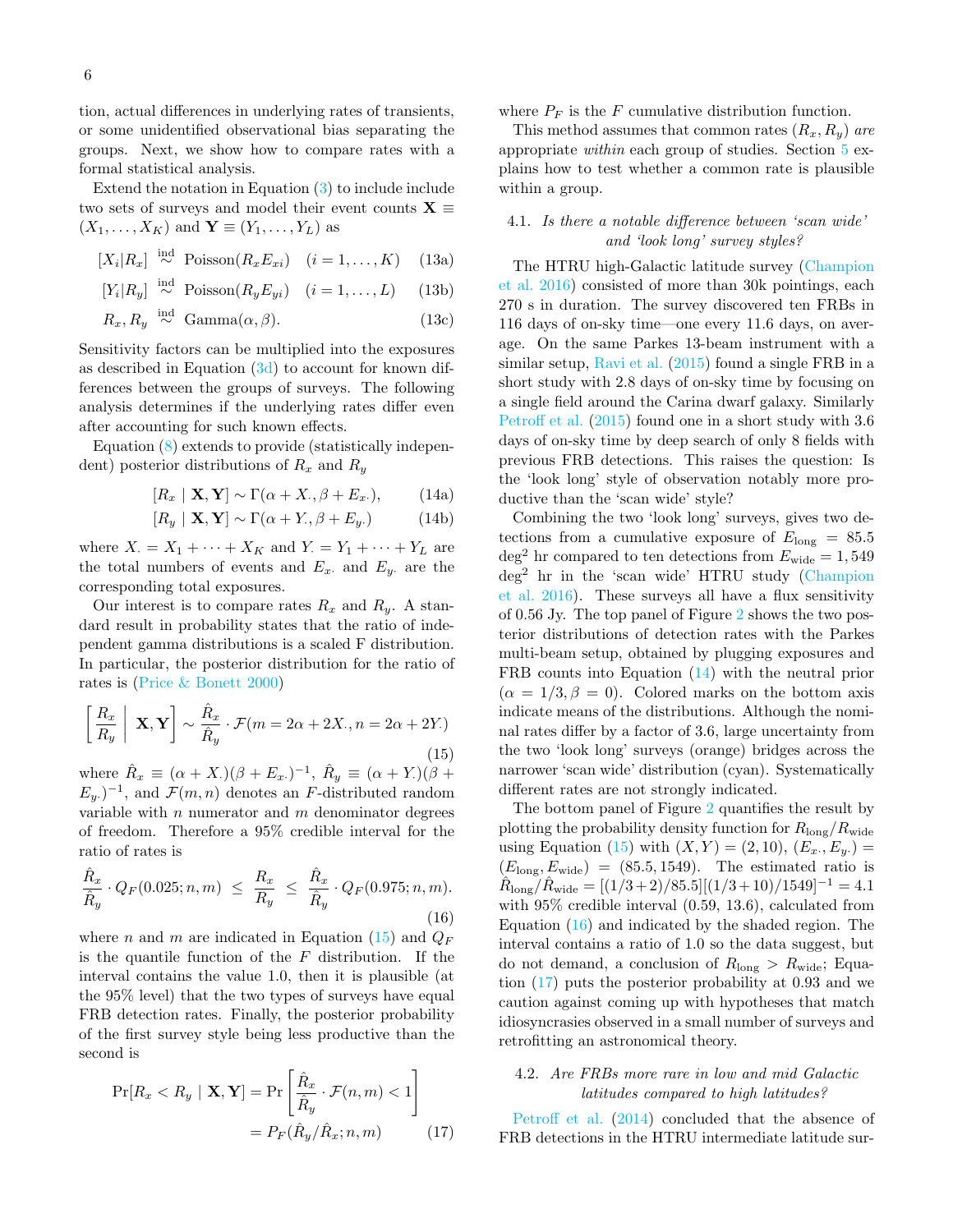tion, actual differences in underlying rates of transients, or some unidentified observational bias separating the groups. Next, we show how to compare rates with a formal statistical analysis.

Extend the notation in Equation [\(3\)](#page-3-2) to include include two sets of surveys and model their event counts  $X \equiv$  $(X_1, \ldots, X_K)$  and  $\mathbf{Y} \equiv (Y_1, \ldots, Y_L)$  as

$$
[X_i|R_x] \stackrel{\text{ind}}{\sim} \text{Poisson}(R_x E_{xi}) \quad (i = 1, ..., K) \quad (13a)
$$

$$
[Y_i|R_y] \stackrel{\text{ind}}{\sim} \text{Poisson}(R_y E_{yi}) \quad (i = 1, \dots, L) \tag{13b}
$$

$$
R_x, R_y \stackrel{\text{ind}}{\sim} \text{Gamma}(\alpha, \beta). \tag{13c}
$$

Sensitivity factors can be multiplied into the exposures as described in Equation  $(3d)$  to account for known differences between the groups of surveys. The following analysis determines if the underlying rates differ even after accounting for such known effects.

Equation [\(8\)](#page-3-4) extends to provide (statistically independent) posterior distributions of  $R_x$  and  $R_y$ 

$$
[R_x \mid \mathbf{X}, \mathbf{Y}] \sim \Gamma(\alpha + X_{\cdot}, \beta + E_x_{\cdot}), \tag{14a}
$$

$$
[R_y \mid \mathbf{X}, \mathbf{Y}] \sim \Gamma(\alpha + Y, \beta + E_y.) \tag{14b}
$$

where  $X = X_1 + \cdots + X_K$  and  $Y = Y_1 + \cdots + Y_L$  are the total numbers of events and  $E_x$  and  $E_y$  are the corresponding total exposures.

Our interest is to compare rates  $R_x$  and  $R_y$ . A standard result in probability states that the ratio of independent gamma distributions is a scaled F distribution. In particular, the posterior distribution for the ratio of rates is [\(Price & Bonett](#page-14-22) [2000\)](#page-14-22)

<span id="page-5-2"></span>
$$
\left[\frac{R_x}{R_y} \middle| \mathbf{X}, \mathbf{Y}\right] \sim \frac{\hat{R}_x}{\hat{R}_y} \cdot \mathcal{F}(m = 2\alpha + 2X_{\cdot}, n = 2\alpha + 2Y_{\cdot})
$$
\n(15)

where  $\hat{R}_x \equiv (\alpha + X.)(\beta + E_x.)^{-1}, \ \hat{R}_y \equiv (\alpha + Y.)(\beta + E_y)$  $(E_y)$ <sup>-1</sup>, and  $\mathcal{F}(m,n)$  denotes an F-distributed random variable with  $n$  numerator and  $m$  denominator degrees of freedom. Therefore a 95% credible interval for the ratio of rates is

<span id="page-5-4"></span>
$$
\frac{\hat{R}_x}{\hat{R}_y} \cdot Q_F(0.025; n, m) \le \frac{R_x}{R_y} \le \frac{\hat{R}_x}{\hat{R}_y} \cdot Q_F(0.975; n, m). \tag{16}
$$

where *n* and *m* are indicated in Equation [\(15\)](#page-5-2) and  $Q_F$ is the quantile function of the  $F$  distribution. If the interval contains the value 1.0, then it is plausible (at the 95% level) that the two types of surveys have equal FRB detection rates. Finally, the posterior probability of the first survey style being less productive than the second is

$$
\Pr[R_x < R_y \mid \mathbf{X}, \mathbf{Y}] = \Pr\left[\frac{\hat{R}_x}{\hat{R}_y} \cdot \mathcal{F}(n, m) < 1\right] \\
= P_F(\hat{R}_y / \hat{R}_x; n, m) \tag{17}
$$

where  $P_F$  is the F cumulative distribution function.

This method assumes that common rates  $(R_x, R_y)$  are appropriate within each group of studies. Section [5](#page-7-0) explains how to test whether a common rate is plausible within a group.

## <span id="page-5-1"></span>4.1. Is there a notable difference between 'scan wide' and 'look long' survey styles?

The HTRU high-Galactic latitude survey [\(Champion](#page-14-0) [et al.](#page-14-0) [2016\)](#page-14-0) consisted of more than 30k pointings, each 270 s in duration. The survey discovered ten FRBs in 116 days of on-sky time—one every 11.6 days, on average. On the same Parkes 13-beam instrument with a similar setup, [Ravi et al.](#page-14-1) [\(2015\)](#page-14-1) found a single FRB in a short study with 2.8 days of on-sky time by focusing on a single field around the Carina dwarf galaxy. Similarly [Petroff et al.](#page-14-2) [\(2015\)](#page-14-2) found one in a short study with 3.6 days of on-sky time by deep search of only 8 fields with previous FRB detections. This raises the question: Is the 'look long' style of observation notably more productive than the 'scan wide' style?

<span id="page-5-3"></span>Combining the two 'look long' surveys, gives two detections from a cumulative exposure of  $E_{\text{long}} = 85.5$ deg<sup>2</sup> hr compared to ten detections from  $E_{\text{wide}} = 1,549$ deg<sup>2</sup> hr in the 'scan wide' HTRU study [\(Champion](#page-14-0) [et al.](#page-14-0) [2016\)](#page-14-0). These surveys all have a flux sensitivity of 0.56 Jy. The top panel of Figure [2](#page-6-1) shows the two posterior distributions of detection rates with the Parkes multi-beam setup, obtained by plugging exposures and FRB counts into Equation [\(14\)](#page-5-3) with the neutral prior  $(\alpha = 1/3, \beta = 0)$ . Colored marks on the bottom axis indicate means of the distributions. Although the nominal rates differ by a factor of 3.6, large uncertainty from the two 'look long' surveys (orange) bridges across the narrower 'scan wide' distribution (cyan). Systematically different rates are not strongly indicated.

The bottom panel of Figure [2](#page-6-1) quantifies the result by plotting the probability density function for  $R_{\text{long}}/R_{\text{wide}}$ using Equation [\(15\)](#page-5-2) with  $(X, Y) = (2, 10), (E_x, E_y) =$  $(E_{\text{long}}, E_{\text{wide}}) = (85.5, 1549)$ . The estimated ratio is  $\hat{R}_{\rm long}/\hat{R}_{\rm wide} = [(1/3+2)/85.5][(1/3+10)/1549]^{-1} = 4.1$ with 95% credible interval (0.59, 13.6), calculated from Equation [\(16\)](#page-5-4) and indicated by the shaded region. The interval contains a ratio of 1.0 so the data suggest, but do not demand, a conclusion of  $R_{\text{long}} > R_{\text{wide}}$ ; Equation [\(17\)](#page-5-5) puts the posterior probability at 0.93 and we caution against coming up with hypotheses that match idiosyncrasies observed in a small number of surveys and retrofitting an astronomical theory.

### <span id="page-5-0"></span>4.2. Are FRBs more rare in low and mid Galactic latitudes compared to high latitudes?

<span id="page-5-5"></span>[Petroff et al.](#page-14-14) [\(2014\)](#page-14-14) concluded that the absence of FRB detections in the HTRU intermediate latitude sur-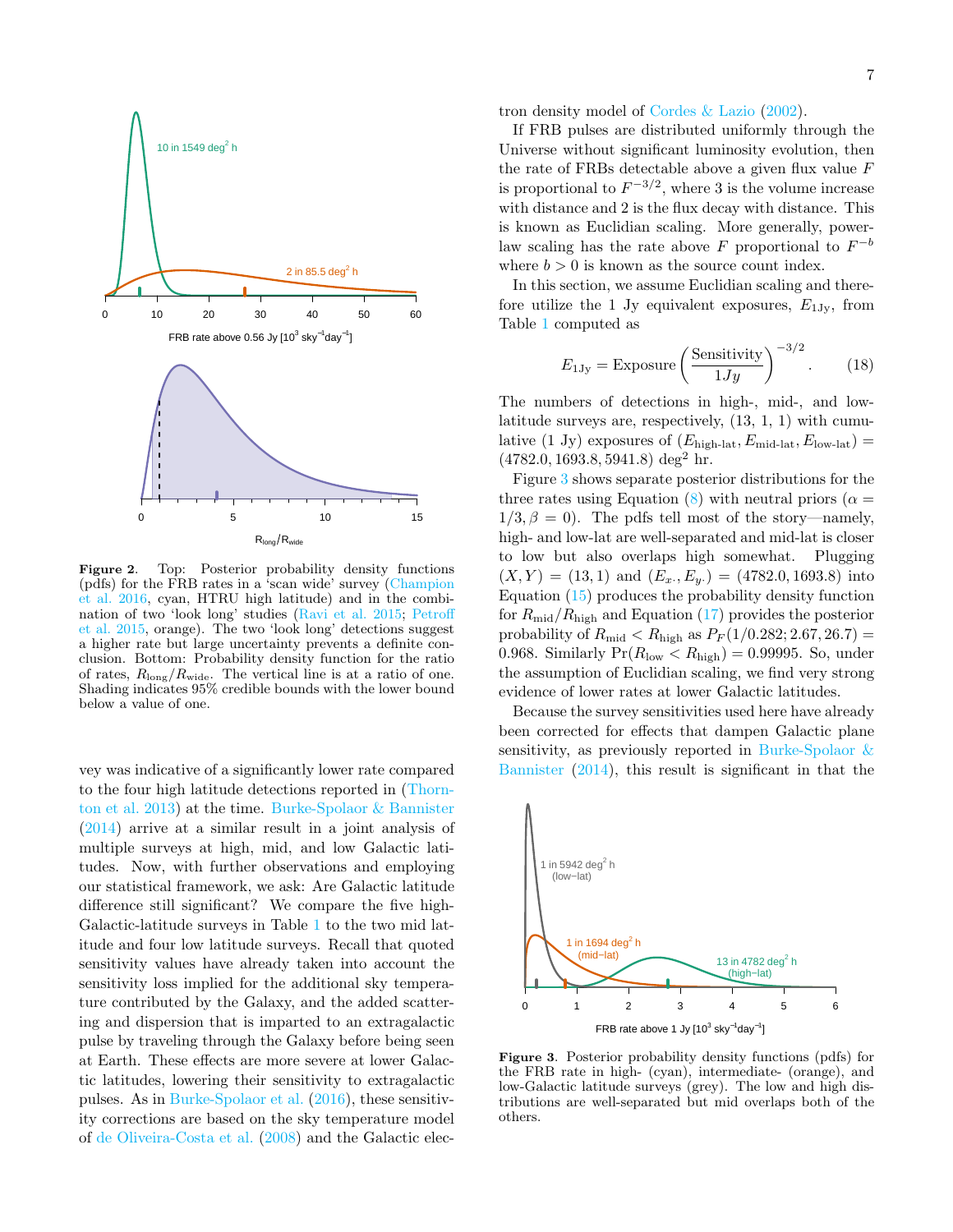

<span id="page-6-1"></span>Figure 2. Top: Posterior probability density functions (pdfs) for the FRB rates in a 'scan wide' survey [\(Champion](#page-14-0) [et al.](#page-14-0) [2016,](#page-14-0) cyan, HTRU high latitude) and in the combination of two 'look long' studies [\(Ravi et al.](#page-14-1) [2015;](#page-14-1) [Petroff](#page-14-2) [et al.](#page-14-2) [2015,](#page-14-2) orange). The two 'look long' detections suggest a higher rate but large uncertainty prevents a definite conclusion. Bottom: Probability density function for the ratio of rates,  $R_{\text{long}}/R_{\text{wide}}$ . The vertical line is at a ratio of one. Shading indicates 95% credible bounds with the lower bound below a value of one.

vey was indicative of a significantly lower rate compared to the four high latitude detections reported in [\(Thorn](#page-14-3)[ton et al.](#page-14-3) [2013\)](#page-14-3) at the time. [Burke-Spolaor & Bannister](#page-14-8) [\(2014\)](#page-14-8) arrive at a similar result in a joint analysis of multiple surveys at high, mid, and low Galactic latitudes. Now, with further observations and employing our statistical framework, we ask: Are Galactic latitude difference still significant? We compare the five high-Galactic-latitude surveys in Table [1](#page-2-0) to the two mid latitude and four low latitude surveys. Recall that quoted sensitivity values have already taken into account the sensitivity loss implied for the additional sky temperature contributed by the Galaxy, and the added scattering and dispersion that is imparted to an extragalactic pulse by traveling through the Galaxy before being seen at Earth. These effects are more severe at lower Galactic latitudes, lowering their sensitivity to extragalactic pulses. As in [Burke-Spolaor et al.](#page-14-7) [\(2016\)](#page-14-7), these sensitivity corrections are based on the sky temperature model of [de Oliveira-Costa et al.](#page-14-23) [\(2008\)](#page-14-23) and the Galactic electron density model of [Cordes & Lazio](#page-14-24) [\(2002\)](#page-14-24).

If FRB pulses are distributed uniformly through the Universe without significant luminosity evolution, then the rate of FRBs detectable above a given flux value  $F$ is proportional to  $F^{-3/2}$ , where 3 is the volume increase with distance and 2 is the flux decay with distance. This is known as Euclidian scaling. More generally, powerlaw scaling has the rate above  $F$  proportional to  $F^{-b}$ where  $b > 0$  is known as the source count index.

In this section, we assume Euclidian scaling and therefore utilize the 1 Jy equivalent exposures,  $E_{1\text{Jy}}$ , from Table [1](#page-2-0) computed as

<span id="page-6-0"></span>
$$
E_{1\text{Jy}} = \text{Exposure} \left(\frac{\text{Sensitivity}}{1\text{Jy}}\right)^{-3/2}.
$$
 (18)

The numbers of detections in high-, mid-, and lowlatitude surveys are, respectively, (13, 1, 1) with cumulative (1 Jy) exposures of  $(E_{\text{high-lat}}, E_{\text{mid-lat}}, E_{\text{low-lat}})$  =  $(4782.0, 1693.8, 5941.8) deg<sup>2</sup> hr.$ 

Figure [3](#page-6-2) shows separate posterior distributions for the three rates using Equation [\(8\)](#page-3-4) with neutral priors ( $\alpha =$  $1/3, \beta = 0$ . The pdfs tell most of the story—namely, high- and low-lat are well-separated and mid-lat is closer to low but also overlaps high somewhat. Plugging  $(X,Y) = (13,1)$  and  $(E_x, E_y) = (4782.0, 1693.8)$  into Equation [\(15\)](#page-5-2) produces the probability density function for  $R_{\text{mid}}/R_{\text{high}}$  and Equation [\(17\)](#page-5-5) provides the posterior probability of  $R_{\text{mid}} < R_{\text{high}}$  as  $P_F(1/0.282; 2.67, 26.7) =$ 0.968. Similarly  $Pr(R_{\text{low}} < R_{\text{high}}) = 0.99995$ . So, under the assumption of Euclidian scaling, we find very strong evidence of lower rates at lower Galactic latitudes.

Because the survey sensitivities used here have already been corrected for effects that dampen Galactic plane sensitivity, as previously reported in [Burke-Spolaor &](#page-14-8) [Bannister](#page-14-8) [\(2014\)](#page-14-8), this result is significant in that the



<span id="page-6-2"></span>Figure 3. Posterior probability density functions (pdfs) for the FRB rate in high- (cyan), intermediate- (orange), and low-Galactic latitude surveys (grey). The low and high distributions are well-separated but mid overlaps both of the others.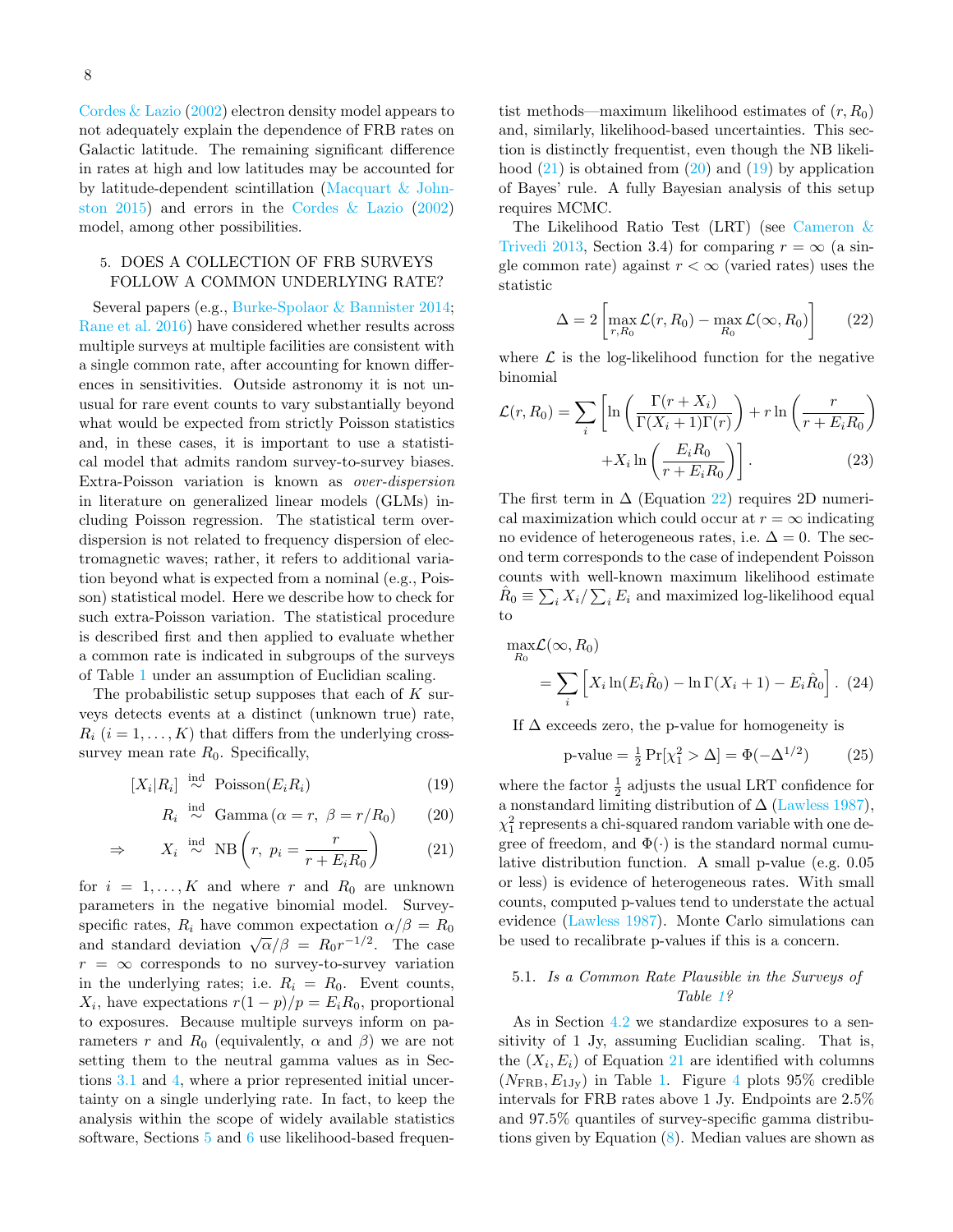[Cordes & Lazio](#page-14-24) [\(2002\)](#page-14-24) electron density model appears to not adequately explain the dependence of FRB rates on Galactic latitude. The remaining significant difference in rates at high and low latitudes may be accounted for by latitude-dependent scintillation [\(Macquart & John](#page-14-25)[ston](#page-14-25) [2015\)](#page-14-25) and errors in the [Cordes & Lazio](#page-14-24) [\(2002\)](#page-14-24) model, among other possibilities.

## <span id="page-7-0"></span>5. DOES A COLLECTION OF FRB SURVEYS FOLLOW A COMMON UNDERLYING RATE?

Several papers (e.g., [Burke-Spolaor & Bannister](#page-14-8) [2014;](#page-14-8) [Rane et al.](#page-14-18) [2016\)](#page-14-18) have considered whether results across multiple surveys at multiple facilities are consistent with a single common rate, after accounting for known differences in sensitivities. Outside astronomy it is not unusual for rare event counts to vary substantially beyond what would be expected from strictly Poisson statistics and, in these cases, it is important to use a statistical model that admits random survey-to-survey biases. Extra-Poisson variation is known as over-dispersion in literature on generalized linear models (GLMs) including Poisson regression. The statistical term overdispersion is not related to frequency dispersion of electromagnetic waves; rather, it refers to additional variation beyond what is expected from a nominal (e.g., Poisson) statistical model. Here we describe how to check for such extra-Poisson variation. The statistical procedure is described first and then applied to evaluate whether a common rate is indicated in subgroups of the surveys of Table [1](#page-2-0) under an assumption of Euclidian scaling.

The probabilistic setup supposes that each of  $K$  surveys detects events at a distinct (unknown true) rate,  $R_i$   $(i = 1, \ldots, K)$  that differs from the underlying crosssurvey mean rate  $R_0$ . Specifically,

$$
[X_i|R_i] \stackrel{\text{ind}}{\sim} \text{Poisson}(E_i R_i) \tag{19}
$$

$$
R_i \stackrel{\text{ind}}{\sim} \text{Gamma}(\alpha = r, \ \beta = r/R_0) \tag{20}
$$

$$
\Rightarrow \qquad X_i \stackrel{\text{ind}}{\sim} \text{NB} \left( r, \ p_i = \frac{r}{r + E_i R_0} \right) \tag{21}
$$

for  $i = 1, ..., K$  and where r and  $R_0$  are unknown parameters in the negative binomial model. Surveyspecific rates,  $R_i$  have common expectation  $\alpha/\beta = R_0$ and standard deviation  $\sqrt{\alpha}/\beta = R_0 r^{-1/2}$ . The case  $r = \infty$  corresponds to no survey-to-survey variation in the underlying rates; i.e.  $R_i = R_0$ . Event counts,  $X_i$ , have expectations  $r(1-p)/p = E_i R_0$ , proportional to exposures. Because multiple surveys inform on parameters r and  $R_0$  (equivalently,  $\alpha$  and  $\beta$ ) we are not setting them to the neutral gamma values as in Sections [3.1](#page-3-5) and [4,](#page-4-0) where a prior represented initial uncertainty on a single underlying rate. In fact, to keep the analysis within the scope of widely available statistics software, Sections [5](#page-7-0) and [6](#page-8-1) use likelihood-based frequentist methods—maximum likelihood estimates of  $(r, R_0)$ and, similarly, likelihood-based uncertainties. This section is distinctly frequentist, even though the NB likelihood  $(21)$  is obtained from  $(20)$  and  $(19)$  by application of Bayes' rule. A fully Bayesian analysis of this setup requires MCMC.

The Likelihood Ratio Test (LRT) (see [Cameron &](#page-14-26) [Trivedi](#page-14-26) [2013,](#page-14-26) Section 3.4) for comparing  $r = \infty$  (a single common rate) against  $r < \infty$  (varied rates) uses the statistic

<span id="page-7-4"></span>
$$
\Delta = 2 \left[ \max_{r, R_0} \mathcal{L}(r, R_0) - \max_{R_0} \mathcal{L}(\infty, R_0) \right]
$$
 (22)

where  $\mathcal L$  is the log-likelihood function for the negative binomial

$$
\mathcal{L}(r, R_0) = \sum_{i} \left[ \ln \left( \frac{\Gamma(r + X_i)}{\Gamma(X_i + 1)\Gamma(r)} \right) + r \ln \left( \frac{r}{r + E_i R_0} \right) + X_i \ln \left( \frac{E_i R_0}{r + E_i R_0} \right) \right].
$$
\n(23)

The first term in  $\Delta$  (Equation [22\)](#page-7-4) requires 2D numerical maximization which could occur at  $r = \infty$  indicating no evidence of heterogeneous rates, i.e.  $\Delta = 0$ . The second term corresponds to the case of independent Poisson counts with well-known maximum likelihood estimate  $\hat{R}_0 \equiv \sum_i X_i / \sum_i E_i$  and maximized log-likelihood equal to

$$
\max_{R_0} \mathcal{L}(\infty, R_0)
$$
  
= 
$$
\sum_i \left[ X_i \ln(E_i \hat{R}_0) - \ln \Gamma(X_i + 1) - E_i \hat{R}_0 \right].
$$
 (24)

If  $\Delta$  exceeds zero, the p-value for homogeneity is

<span id="page-7-5"></span>p-value = 
$$
\frac{1}{2} \Pr[\chi_1^2 > \Delta] = \Phi(-\Delta^{1/2})
$$
 (25)

<span id="page-7-3"></span><span id="page-7-2"></span><span id="page-7-1"></span>where the factor  $\frac{1}{2}$  adjusts the usual LRT confidence for a nonstandard limiting distribution of  $\Delta$  [\(Lawless](#page-14-27) [1987\)](#page-14-27),  $\chi_1^2$  represents a chi-squared random variable with one degree of freedom, and  $\Phi(\cdot)$  is the standard normal cumulative distribution function. A small p-value (e.g. 0.05 or less) is evidence of heterogeneous rates. With small counts, computed p-values tend to understate the actual evidence [\(Lawless](#page-14-27) [1987\)](#page-14-27). Monte Carlo simulations can be used to recalibrate p-values if this is a concern.

## 5.1. Is a Common Rate Plausible in the Surveys of Table [1?](#page-2-0)

As in Section [4.2](#page-5-0) we standardize exposures to a sensitivity of 1 Jy, assuming Euclidian scaling. That is, the  $(X_i, E_i)$  of Equation [21](#page-7-1) are identified with columns  $(N_{\text{FRB}}, E_{1 \text{Jy}})$  in Table [1.](#page-2-0) Figure [4](#page-8-2) plots 95% credible intervals for FRB rates above 1 Jy. Endpoints are 2.5% and 97.5% quantiles of survey-specific gamma distributions given by Equation  $(8)$ . Median values are shown as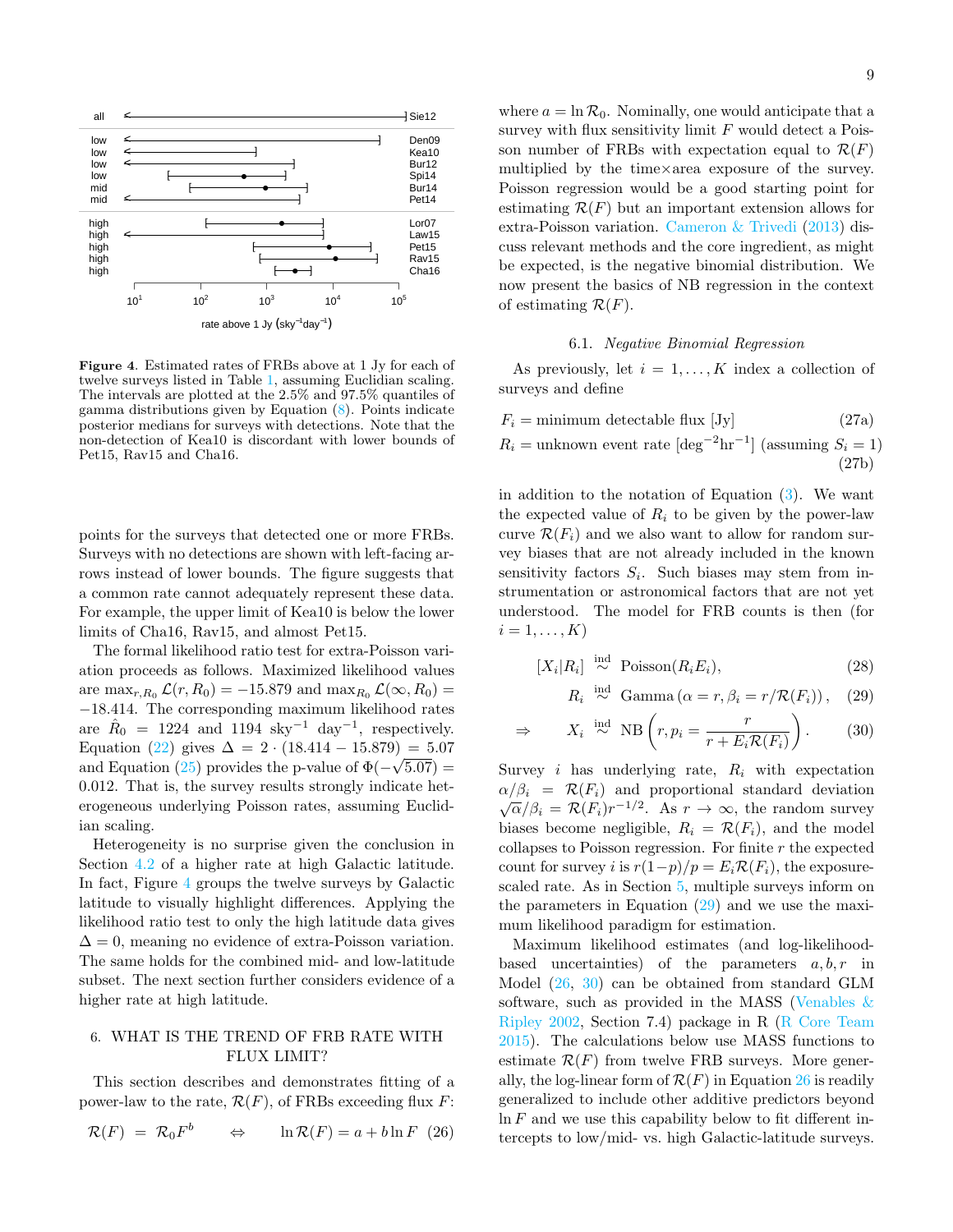

<span id="page-8-2"></span>Figure 4. Estimated rates of FRBs above at 1 Jy for each of twelve surveys listed in Table [1,](#page-2-0) assuming Euclidian scaling. The intervals are plotted at the 2.5% and 97.5% quantiles of gamma distributions given by Equation [\(8\)](#page-3-4). Points indicate posterior medians for surveys with detections. Note that the non-detection of Kea10 is discordant with lower bounds of Pet15, Rav15 and Cha16.

points for the surveys that detected one or more FRBs. Surveys with no detections are shown with left-facing arrows instead of lower bounds. The figure suggests that a common rate cannot adequately represent these data. For example, the upper limit of Kea10 is below the lower limits of Cha16, Rav15, and almost Pet15.

The formal likelihood ratio test for extra-Poisson variation proceeds as follows. Maximized likelihood values are  $\max_{r,R_0} \mathcal{L}(r, R_0) = -15.879$  and  $\max_{R_0} \mathcal{L}(\infty, R_0) =$ −18.414. The corresponding maximum likelihood rates are  $\hat{R}_0 = 1224$  and 1194 sky<sup>-1</sup> day<sup>-1</sup>, respectively. Equation [\(22\)](#page-7-4) gives  $\Delta = 2 \cdot (18.414 - 15.879) = 5.07$ and Equation [\(25\)](#page-7-5) provides the p-value of  $\Phi(-\sqrt{5.07}) =$ 0.012. That is, the survey results strongly indicate heterogeneous underlying Poisson rates, assuming Euclidian scaling.

Heterogeneity is no surprise given the conclusion in Section  $4.2$  of a higher rate at high Galactic latitude. In fact, Figure [4](#page-8-2) groups the twelve surveys by Galactic latitude to visually highlight differences. Applying the likelihood ratio test to only the high latitude data gives  $\Delta = 0$ , meaning no evidence of extra-Poisson variation. The same holds for the combined mid- and low-latitude subset. The next section further considers evidence of a higher rate at high latitude.

## <span id="page-8-1"></span>6. WHAT IS THE TREND OF FRB RATE WITH FLUX LIMIT?

This section describes and demonstrates fitting of a power-law to the rate,  $\mathcal{R}(F)$ , of FRBs exceeding flux  $F$ :

$$
\mathcal{R}(F) = \mathcal{R}_0 F^b \qquad \Leftrightarrow \qquad \ln \mathcal{R}(F) = a + b \ln F \tag{26}
$$

where  $a = \ln \mathcal{R}_0$ . Nominally, one would anticipate that a survey with flux sensitivity limit  $F$  would detect a Poisson number of FRBs with expectation equal to  $\mathcal{R}(F)$ multiplied by the time×area exposure of the survey. Poisson regression would be a good starting point for estimating  $\mathcal{R}(F)$  but an important extension allows for

extra-Poisson variation. [Cameron & Trivedi](#page-14-26) [\(2013\)](#page-14-26) discuss relevant methods and the core ingredient, as might be expected, is the negative binomial distribution. We now present the basics of NB regression in the context of estimating  $\mathcal{R}(F)$ .

### 6.1. Negative Binomial Regression

<span id="page-8-0"></span>As previously, let  $i = 1, ..., K$  index a collection of surveys and define

$$
F_i = \text{minimum detectable flux [Jy]} \tag{27a}
$$
  

$$
R_i = \text{unknown event rate [deg-2hr-1] (assuming S_i = 1)
$$
  
(27b)

in addition to the notation of Equation  $(3)$ . We want the expected value of  $R_i$  to be given by the power-law curve  $\mathcal{R}(F_i)$  and we also want to allow for random survey biases that are not already included in the known sensitivity factors  $S_i$ . Such biases may stem from instrumentation or astronomical factors that are not yet understood. The model for FRB counts is then (for  $i=1,\ldots,K$ 

$$
[X_i|R_i] \stackrel{\text{ind}}{\sim} \text{Poisson}(R_i E_i),\tag{28}
$$

<span id="page-8-5"></span><span id="page-8-3"></span> $R_i \stackrel{\text{ind}}{\sim} \text{Gamma}(\alpha = r, \beta_i = r / \mathcal{R}(F_i)),$  (29)

$$
\Rightarrow \qquad X_i \stackrel{\text{ind}}{\sim} \text{NB} \left( r, p_i = \frac{r}{r + E_i \mathcal{R}(F_i)} \right). \tag{30}
$$

Survey *i* has underlying rate,  $R_i$  with expectation  $\alpha/\beta_i = \mathcal{R}(F_i)$  and proportional standard deviation  $\sqrt{\alpha}/\beta_i = \mathcal{R}(F_i) r^{-1/2}$ . As  $r \to \infty$ , the random survey biases become negligible,  $R_i = \mathcal{R}(F_i)$ , and the model collapses to Poisson regression. For finite  $r$  the expected count for survey i is  $r(1-p)/p = E_i \mathcal{R}(F_i)$ , the exposurescaled rate. As in Section [5,](#page-7-0) multiple surveys inform on the parameters in Equation  $(29)$  and we use the maximum likelihood paradigm for estimation.

<span id="page-8-4"></span>Maximum likelihood estimates (and log-likelihoodbased uncertainties) of the parameters  $a, b, r$  in Model [\(26,](#page-8-4) [30\)](#page-8-5) can be obtained from standard GLM software, such as provided in the MASS [\(Venables &](#page-14-28) [Ripley](#page-14-28) [2002,](#page-14-28) Section 7.4) package in R [\(R Core Team](#page-14-29) [2015\)](#page-14-29). The calculations below use MASS functions to estimate  $\mathcal{R}(F)$  from twelve FRB surveys. More generally, the log-linear form of  $\mathcal{R}(F)$  in Equation [26](#page-8-4) is readily generalized to include other additive predictors beyond  $\ln F$  and we use this capability below to fit different intercepts to low/mid- vs. high Galactic-latitude surveys.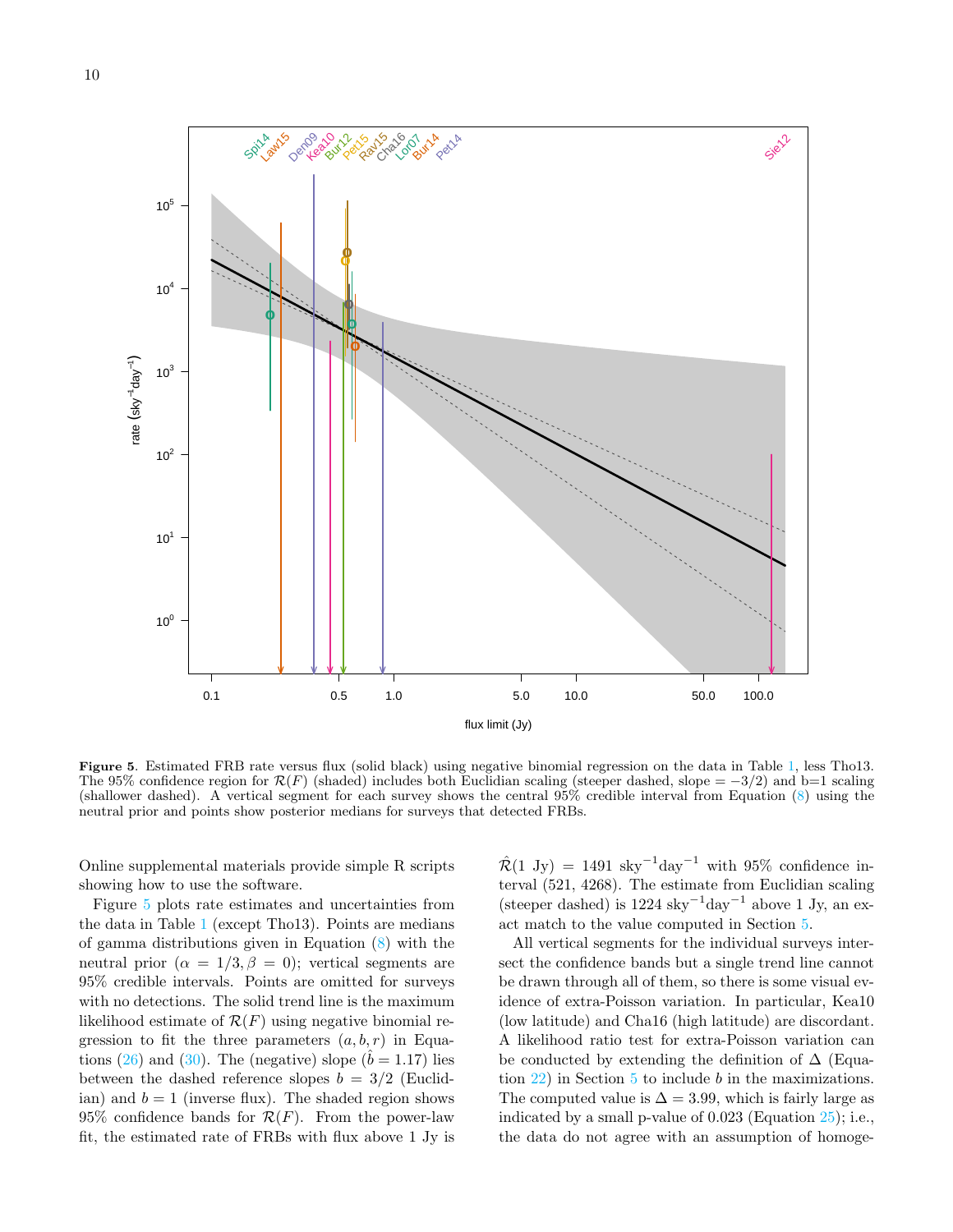

<span id="page-9-0"></span>Figure 5. Estimated FRB rate versus flux (solid black) using negative binomial regression on the data in Table [1,](#page-2-0) less Tho13. The 95% confidence region for  $\mathcal{R}(F)$  (shaded) includes both Euclidian scaling (steeper dashed, slope = -3/2) and b=1 scaling (shallower dashed). A vertical segment for each survey shows the central 95% credible interval from Equation [\(8\)](#page-3-4) using the neutral prior and points show posterior medians for surveys that detected FRBs.

Online supplemental materials provide simple R scripts showing how to use the software.

Figure [5](#page-9-0) plots rate estimates and uncertainties from the data in Table [1](#page-2-0) (except Tho13). Points are medians of gamma distributions given in Equation [\(8\)](#page-3-4) with the neutral prior  $(\alpha = 1/3, \beta = 0)$ ; vertical segments are 95% credible intervals. Points are omitted for surveys with no detections. The solid trend line is the maximum likelihood estimate of  $\mathcal{R}(F)$  using negative binomial regression to fit the three parameters  $(a, b, r)$  in Equa-tions [\(26\)](#page-8-4) and [\(30\)](#page-8-5). The (negative) slope ( $\hat{b} = 1.17$ ) lies between the dashed reference slopes  $b = 3/2$  (Euclidian) and  $b = 1$  (inverse flux). The shaded region shows 95% confidence bands for  $\mathcal{R}(F)$ . From the power-law fit, the estimated rate of FRBs with flux above 1 Jy is

 $\mathcal{R}(1 \text{ Jy}) = 1491 \text{ sky}^{-1} \text{day}^{-1}$  with 95% confidence interval (521, 4268). The estimate from Euclidian scaling (steeper dashed) is  $1224$  sky<sup>-1</sup>day<sup>-1</sup> above 1 Jy, an exact match to the value computed in Section [5.](#page-7-0)

All vertical segments for the individual surveys intersect the confidence bands but a single trend line cannot be drawn through all of them, so there is some visual evidence of extra-Poisson variation. In particular, Kea10 (low latitude) and Cha16 (high latitude) are discordant. A likelihood ratio test for extra-Poisson variation can be conducted by extending the definition of  $\Delta$  (Equation  $22$ ) in Section [5](#page-7-0) to include b in the maximizations. The computed value is  $\Delta = 3.99$ , which is fairly large as indicated by a small p-value of 0.023 (Equation [25\)](#page-7-5); i.e., the data do not agree with an assumption of homoge-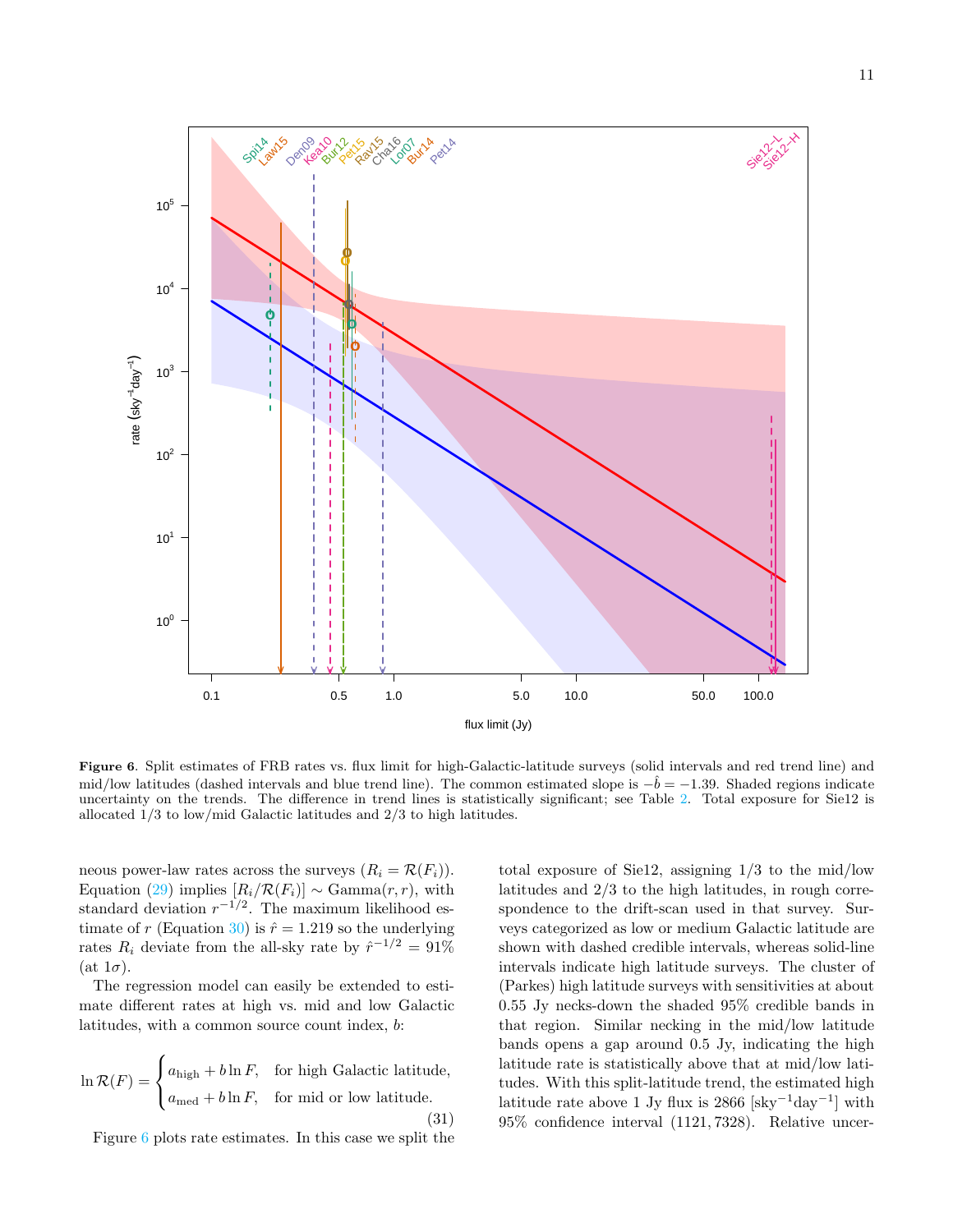

<span id="page-10-0"></span>Figure 6. Split estimates of FRB rates vs. flux limit for high-Galactic-latitude surveys (solid intervals and red trend line) and mid/low latitudes (dashed intervals and blue trend line). The common estimated slope is  $-\dot{b} = -1.39$ . Shaded regions indicate uncertainty on the trends. The difference in trend lines is statistically significant; see Table [2.](#page-11-0) Total exposure for Sie12 is allocated 1/3 to low/mid Galactic latitudes and 2/3 to high latitudes.

neous power-law rates across the surveys  $(R_i = \mathcal{R}(F_i)).$ Equation [\(29\)](#page-8-3) implies  $[R_i/\mathcal{R}(F_i)] \sim \text{Gamma}(r, r)$ , with standard deviation  $r^{-1/2}$ . The maximum likelihood es-timate of r (Equation [30\)](#page-8-5) is  $\hat{r} = 1.219$  so the underlying rates  $R_i$  deviate from the all-sky rate by  $\hat{r}^{-1/2} = 91\%$ (at  $1\sigma$ ).

The regression model can easily be extended to estimate different rates at high vs. mid and low Galactic latitudes, with a common source count index, b:

$$
\ln \mathcal{R}(F) = \begin{cases} a_{\text{high}} + b \ln F, & \text{for high Galactic latitude,} \\ a_{\text{med}} + b \ln F, & \text{for mid or low latitude.} \end{cases} \tag{31}
$$

Figure [6](#page-10-0) plots rate estimates. In this case we split the

total exposure of Sie12, assigning 1/3 to the mid/low latitudes and 2/3 to the high latitudes, in rough correspondence to the drift-scan used in that survey. Surveys categorized as low or medium Galactic latitude are shown with dashed credible intervals, whereas solid-line intervals indicate high latitude surveys. The cluster of (Parkes) high latitude surveys with sensitivities at about 0.55 Jy necks-down the shaded 95% credible bands in that region. Similar necking in the mid/low latitude bands opens a gap around 0.5 Jy, indicating the high latitude rate is statistically above that at mid/low latitudes. With this split-latitude trend, the estimated high latitude rate above 1 Jy flux is 2866 [sky<sup>-1</sup>day<sup>-1</sup>] with 95% confidence interval (1121, 7328). Relative uncer-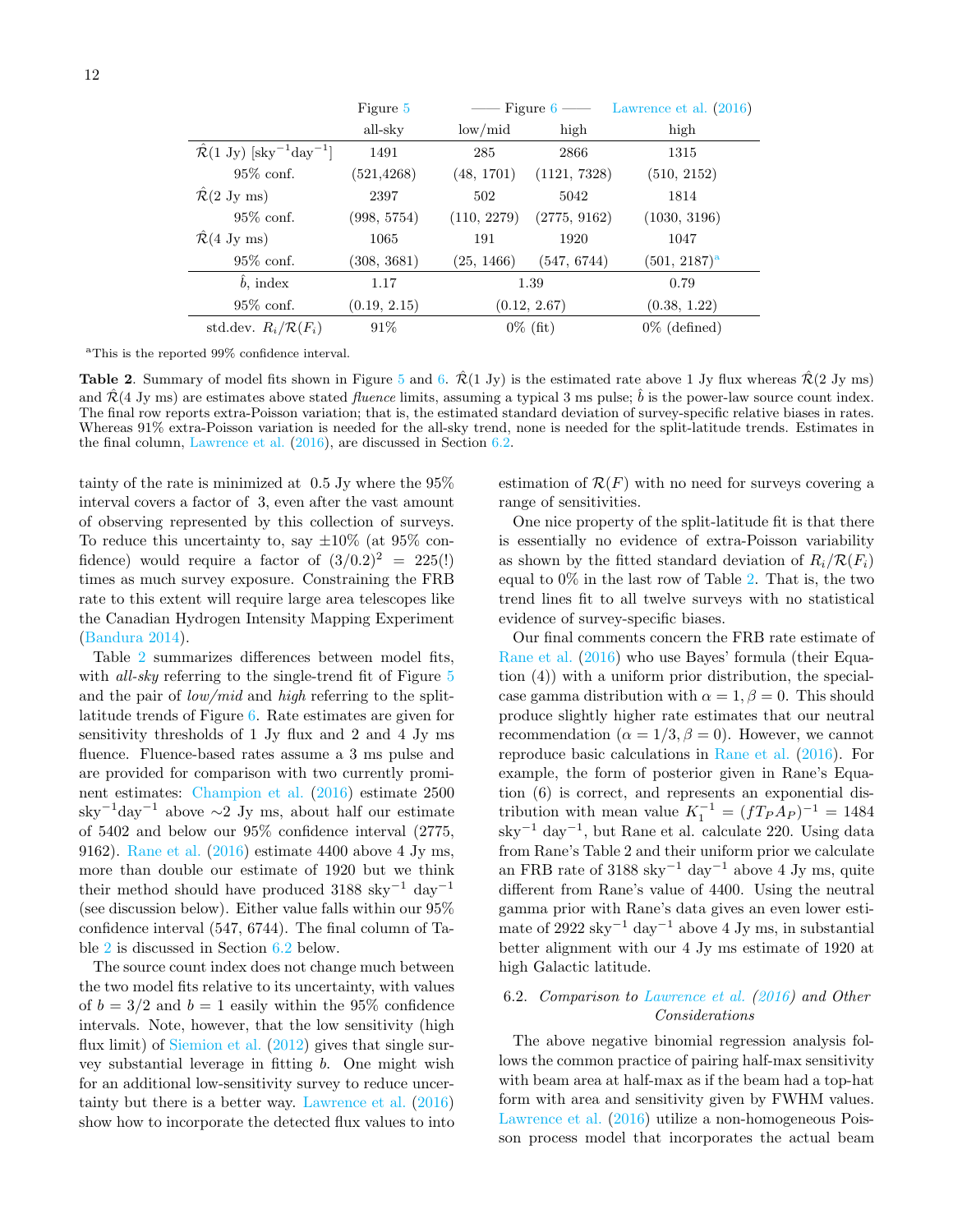|                                                                    | Figure 5     |                         |              | Figure $6 \longrightarrow$ Lawrence et al. (2016) |
|--------------------------------------------------------------------|--------------|-------------------------|--------------|---------------------------------------------------|
|                                                                    | all-sky      | $\text{low}/\text{mid}$ | high         | high                                              |
| $\mathcal{R}(1 \text{ Jy})$ [sky <sup>-1</sup> day <sup>-1</sup> ] | 1491         | 285                     | 2866         | 1315                                              |
| $95\%$ conf.                                                       | (521, 4268)  | (48, 1701)              | (1121, 7328) | (510, 2152)                                       |
| $\hat{\mathcal{R}}(2 \text{ Jy ms})$                               | 2397         | 502                     | 5042         | 1814                                              |
| $95\%$ conf.                                                       | (998, 5754)  | (110, 2279)             | (2775, 9162) | (1030, 3196)                                      |
| $\mathcal{R}(4 \text{ Jy ms})$                                     | 1065         | 191                     | 1920         | 1047                                              |
| $95\%$ conf.                                                       | (308, 3681)  | (25, 1466)              | (547, 6744)  | $(501, 2187)$ <sup>a</sup>                        |
| $\ddot{b}$ , index                                                 | 1.17         | 1.39                    |              | 0.79                                              |
| $95\%$ conf.                                                       | (0.19, 2.15) | (0.12, 2.67)            |              | (0.38, 1.22)                                      |
| std.dev. $R_i/R(F_i)$                                              | 91%          | $0\%$ (fit)             |              | $0\%$ (defined)                                   |

<span id="page-11-1"></span><sup>a</sup>This is the reported 99% confidence interval.

<span id="page-11-0"></span>**Table 2.** Summary of model fits shown in Figure [5](#page-9-0) and [6.](#page-10-0)  $\hat{\mathcal{R}}(1 \text{ Jy})$  is the estimated rate above 1 Jy flux whereas  $\hat{\mathcal{R}}(2 \text{ Jy ms})$ and  $\hat{\mathcal{R}}(4 \text{ Jy ms})$  are estimates above stated *fluence* limits, assuming a typical 3 ms pulse;  $\hat{b}$  is the power-law source count index. The final row reports extra-Poisson variation; that is, the estimated standard deviation of survey-specific relative biases in rates. Whereas 91% extra-Poisson variation is needed for the all-sky trend, none is needed for the split-latitude trends. Estimates in the final column, [Lawrence et al.](#page-14-6) [\(2016\)](#page-14-6), are discussed in Section [6.2.](#page-11-2)

tainty of the rate is minimized at 0.5 Jy where the 95% interval covers a factor of 3, even after the vast amount of observing represented by this collection of surveys. To reduce this uncertainty to, say  $\pm 10\%$  (at 95% confidence) would require a factor of  $(3/0.2)^2 = 225(!)$ times as much survey exposure. Constraining the FRB rate to this extent will require large area telescopes like the Canadian Hydrogen Intensity Mapping Experiment [\(Bandura](#page-14-30) [2014\)](#page-14-30).

Table [2](#page-11-0) summarizes differences between model fits, with *all-sky* referring to the single-trend fit of Figure [5](#page-9-0) and the pair of  $low/mid$  and high referring to the splitlatitude trends of Figure [6.](#page-10-0) Rate estimates are given for sensitivity thresholds of 1 Jy flux and 2 and 4 Jy ms fluence. Fluence-based rates assume a 3 ms pulse and are provided for comparison with two currently prominent estimates: [Champion et al.](#page-14-0) [\(2016\)](#page-14-0) estimate 2500 sky<sup>-1</sup>day<sup>-1</sup> above  $\sim$ 2 Jy ms, about half our estimate of 5402 and below our 95% confidence interval (2775, 9162). [Rane et al.](#page-14-18) [\(2016\)](#page-14-18) estimate 4400 above 4 Jy ms, more than double our estimate of 1920 but we think their method should have produced 3188 sky<sup>-1</sup> day<sup>-1</sup> (see discussion below). Either value falls within our 95% confidence interval (547, 6744). The final column of Table [2](#page-11-0) is discussed in Section [6.2](#page-11-2) below.

The source count index does not change much between the two model fits relative to its uncertainty, with values of  $b = 3/2$  and  $b = 1$  easily within the 95% confidence intervals. Note, however, that the low sensitivity (high flux limit) of [Siemion et al.](#page-14-13)  $(2012)$  gives that single survey substantial leverage in fitting b. One might wish for an additional low-sensitivity survey to reduce uncertainty but there is a better way. [Lawrence et al.](#page-14-6) [\(2016\)](#page-14-6) show how to incorporate the detected flux values to into estimation of  $\mathcal{R}(F)$  with no need for surveys covering a range of sensitivities.

One nice property of the split-latitude fit is that there is essentially no evidence of extra-Poisson variability as shown by the fitted standard deviation of  $R_i/R(F_i)$ equal to  $0\%$  in the last row of Table [2.](#page-11-0) That is, the two trend lines fit to all twelve surveys with no statistical evidence of survey-specific biases.

Our final comments concern the FRB rate estimate of [Rane et al.](#page-14-18) [\(2016\)](#page-14-18) who use Bayes' formula (their Equation (4)) with a uniform prior distribution, the specialcase gamma distribution with  $\alpha = 1, \beta = 0$ . This should produce slightly higher rate estimates that our neutral recommendation ( $\alpha = 1/3$ ,  $\beta = 0$ ). However, we cannot reproduce basic calculations in [Rane et al.](#page-14-18) [\(2016\)](#page-14-18). For example, the form of posterior given in Rane's Equation (6) is correct, and represents an exponential distribution with mean value  $K_1^{-1} = (fT_P A_P)^{-1} = 1484$ sky<sup>−</sup><sup>1</sup> day<sup>−</sup><sup>1</sup> , but Rane et al. calculate 220. Using data from Rane's Table 2 and their uniform prior we calculate an FRB rate of 3188 sky<sup>-1</sup> day<sup>-1</sup> above 4 Jy ms, quite different from Rane's value of 4400. Using the neutral gamma prior with Rane's data gives an even lower estimate of 2922 sky<sup>-1</sup> day<sup>-1</sup> above 4 Jy ms, in substantial better alignment with our 4 Jy ms estimate of 1920 at high Galactic latitude.

# <span id="page-11-2"></span>6.2. Comparison to [Lawrence et al.](#page-14-6) [\(2016\)](#page-14-6) and Other Considerations

The above negative binomial regression analysis follows the common practice of pairing half-max sensitivity with beam area at half-max as if the beam had a top-hat form with area and sensitivity given by FWHM values. [Lawrence et al.](#page-14-6) [\(2016\)](#page-14-6) utilize a non-homogeneous Poisson process model that incorporates the actual beam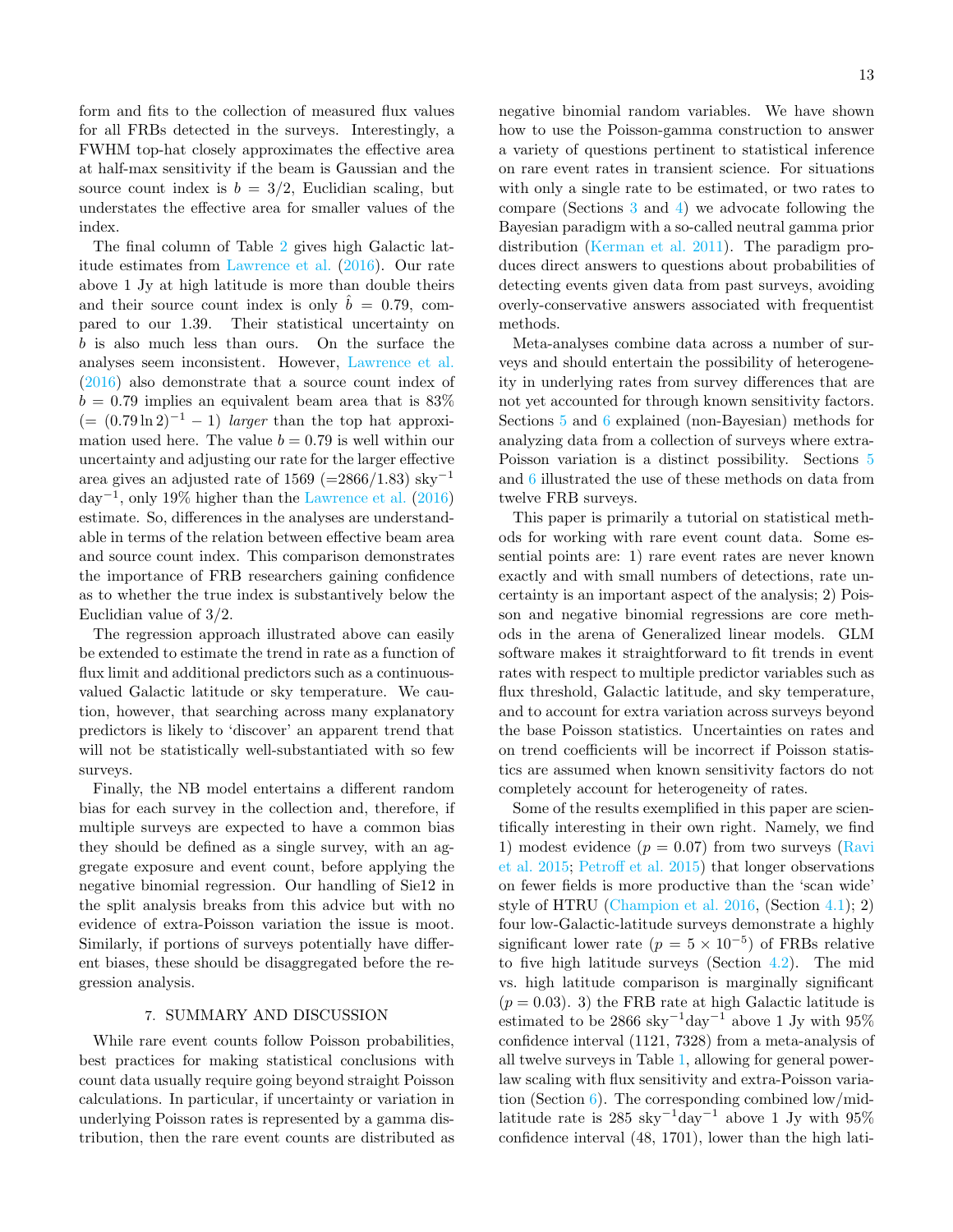form and fits to the collection of measured flux values for all FRBs detected in the surveys. Interestingly, a FWHM top-hat closely approximates the effective area at half-max sensitivity if the beam is Gaussian and the source count index is  $b = 3/2$ , Euclidian scaling, but understates the effective area for smaller values of the index.

The final column of Table [2](#page-11-0) gives high Galactic latitude estimates from [Lawrence et al.](#page-14-6) [\(2016\)](#page-14-6). Our rate above 1 Jy at high latitude is more than double theirs and their source count index is only  $\hat{b} = 0.79$ , compared to our 1.39. Their statistical uncertainty on b is also much less than ours. On the surface the analyses seem inconsistent. However, [Lawrence et al.](#page-14-6) [\(2016\)](#page-14-6) also demonstrate that a source count index of  $b = 0.79$  implies an equivalent beam area that is 83%  $(=(0.79 \ln 2)^{-1} - 1)$  *larger* than the top hat approximation used here. The value  $b = 0.79$  is well within our uncertainty and adjusting our rate for the larger effective area gives an adjusted rate of 1569 (= $2866/1.83$ ) sky<sup>-1</sup>  $\text{day}^{-1}$ , only 19% higher than the [Lawrence et al.](#page-14-6) [\(2016\)](#page-14-6) estimate. So, differences in the analyses are understandable in terms of the relation between effective beam area and source count index. This comparison demonstrates the importance of FRB researchers gaining confidence as to whether the true index is substantively below the Euclidian value of 3/2.

The regression approach illustrated above can easily be extended to estimate the trend in rate as a function of flux limit and additional predictors such as a continuousvalued Galactic latitude or sky temperature. We caution, however, that searching across many explanatory predictors is likely to 'discover' an apparent trend that will not be statistically well-substantiated with so few surveys.

Finally, the NB model entertains a different random bias for each survey in the collection and, therefore, if multiple surveys are expected to have a common bias they should be defined as a single survey, with an aggregate exposure and event count, before applying the negative binomial regression. Our handling of Sie12 in the split analysis breaks from this advice but with no evidence of extra-Poisson variation the issue is moot. Similarly, if portions of surveys potentially have different biases, these should be disaggregated before the regression analysis.

### 7. SUMMARY AND DISCUSSION

<span id="page-12-0"></span>While rare event counts follow Poisson probabilities, best practices for making statistical conclusions with count data usually require going beyond straight Poisson calculations. In particular, if uncertainty or variation in underlying Poisson rates is represented by a gamma distribution, then the rare event counts are distributed as negative binomial random variables. We have shown how to use the Poisson-gamma construction to answer a variety of questions pertinent to statistical inference on rare event rates in transient science. For situations with only a single rate to be estimated, or two rates to compare (Sections [3](#page-3-0) and [4\)](#page-4-0) we advocate following the Bayesian paradigm with a so-called neutral gamma prior distribution [\(Kerman et al.](#page-14-19) [2011\)](#page-14-19). The paradigm produces direct answers to questions about probabilities of detecting events given data from past surveys, avoiding overly-conservative answers associated with frequentist methods.

Meta-analyses combine data across a number of surveys and should entertain the possibility of heterogeneity in underlying rates from survey differences that are not yet accounted for through known sensitivity factors. Sections [5](#page-7-0) and [6](#page-8-1) explained (non-Bayesian) methods for analyzing data from a collection of surveys where extra-Poisson variation is a distinct possibility. Sections [5](#page-7-0) and [6](#page-8-1) illustrated the use of these methods on data from twelve FRB surveys.

This paper is primarily a tutorial on statistical methods for working with rare event count data. Some essential points are: 1) rare event rates are never known exactly and with small numbers of detections, rate uncertainty is an important aspect of the analysis; 2) Poisson and negative binomial regressions are core methods in the arena of Generalized linear models. GLM software makes it straightforward to fit trends in event rates with respect to multiple predictor variables such as flux threshold, Galactic latitude, and sky temperature, and to account for extra variation across surveys beyond the base Poisson statistics. Uncertainties on rates and on trend coefficients will be incorrect if Poisson statistics are assumed when known sensitivity factors do not completely account for heterogeneity of rates.

Some of the results exemplified in this paper are scientifically interesting in their own right. Namely, we find 1) modest evidence  $(p = 0.07)$  from two surveys [\(Ravi](#page-14-1) [et al.](#page-14-1) [2015;](#page-14-1) [Petroff et al.](#page-14-2) [2015\)](#page-14-2) that longer observations on fewer fields is more productive than the 'scan wide' style of HTRU [\(Champion et al.](#page-14-0) [2016,](#page-14-0) (Section [4.1\)](#page-5-1); 2) four low-Galactic-latitude surveys demonstrate a highly significant lower rate  $(p = 5 \times 10^{-5})$  of FRBs relative to five high latitude surveys (Section [4.2\)](#page-5-0). The mid vs. high latitude comparison is marginally significant  $(p = 0.03)$ . 3) the FRB rate at high Galactic latitude is estimated to be  $2866 \text{ sky}^{-1} \text{day}^{-1}$  above 1 Jy with  $95\%$ confidence interval (1121, 7328) from a meta-analysis of all twelve surveys in Table [1,](#page-2-0) allowing for general powerlaw scaling with flux sensitivity and extra-Poisson variation (Section  $6$ ). The corresponding combined low/midlatitude rate is 285 sky<sup>-1</sup>day<sup>-1</sup> above 1 Jy with 95% confidence interval (48, 1701), lower than the high lati-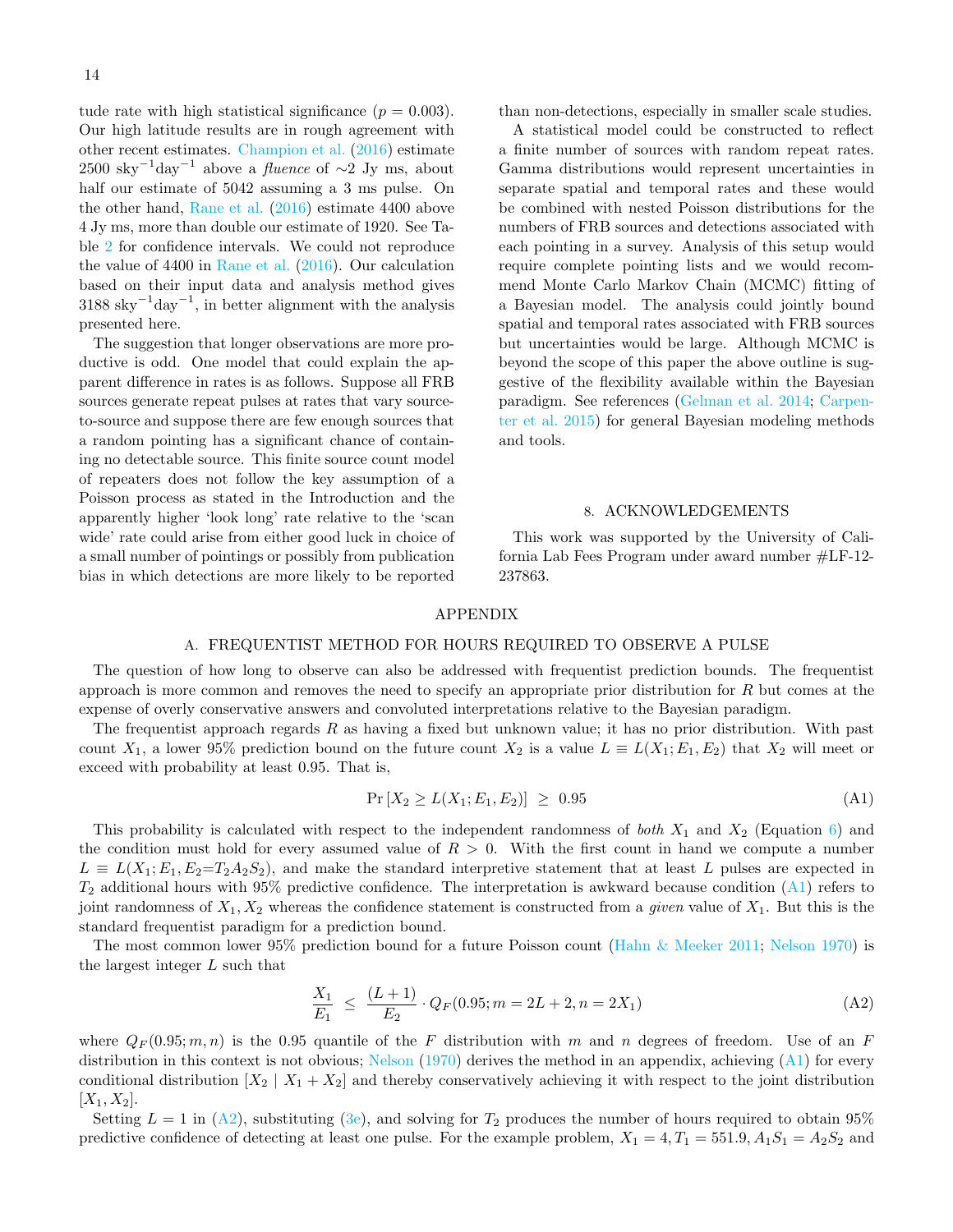tude rate with high statistical significance ( $p = 0.003$ ). Our high latitude results are in rough agreement with other recent estimates. [Champion et al.](#page-14-0) [\(2016\)](#page-14-0) estimate  $2500 \text{ sky}^{-1} \text{day}^{-1}$  above a *fluence* of  $\sim$ 2 Jy ms, about half our estimate of 5042 assuming a 3 ms pulse. On the other hand, [Rane et al.](#page-14-18) [\(2016\)](#page-14-18) estimate 4400 above 4 Jy ms, more than double our estimate of 1920. See Table [2](#page-11-0) for confidence intervals. We could not reproduce the value of 4400 in [Rane et al.](#page-14-18) [\(2016\)](#page-14-18). Our calculation based on their input data and analysis method gives  $3188 \text{ sky}^{-1} \text{day}^{-1}$ , in better alignment with the analysis presented here.

The suggestion that longer observations are more productive is odd. One model that could explain the apparent difference in rates is as follows. Suppose all FRB sources generate repeat pulses at rates that vary sourceto-source and suppose there are few enough sources that a random pointing has a significant chance of containing no detectable source. This finite source count model of repeaters does not follow the key assumption of a Poisson process as stated in the Introduction and the apparently higher 'look long' rate relative to the 'scan wide' rate could arise from either good luck in choice of a small number of pointings or possibly from publication bias in which detections are more likely to be reported

than non-detections, especially in smaller scale studies.

A statistical model could be constructed to reflect a finite number of sources with random repeat rates. Gamma distributions would represent uncertainties in separate spatial and temporal rates and these would be combined with nested Poisson distributions for the numbers of FRB sources and detections associated with each pointing in a survey. Analysis of this setup would require complete pointing lists and we would recommend Monte Carlo Markov Chain (MCMC) fitting of a Bayesian model. The analysis could jointly bound spatial and temporal rates associated with FRB sources but uncertainties would be large. Although MCMC is beyond the scope of this paper the above outline is suggestive of the flexibility available within the Bayesian paradigm. See references [\(Gelman et al.](#page-14-20) [2014;](#page-14-20) [Carpen](#page-14-31)[ter et al.](#page-14-31) [2015\)](#page-14-31) for general Bayesian modeling methods and tools.

### <span id="page-13-0"></span>8. ACKNOWLEDGEMENTS

This work was supported by the University of California Lab Fees Program under award number #LF-12- 237863.

### APPENDIX

#### A. FREQUENTIST METHOD FOR HOURS REQUIRED TO OBSERVE A PULSE

The question of how long to observe can also be addressed with frequentist prediction bounds. The frequentist approach is more common and removes the need to specify an appropriate prior distribution for  $R$  but comes at the expense of overly conservative answers and convoluted interpretations relative to the Bayesian paradigm.

The frequentist approach regards R as having a fixed but unknown value; it has no prior distribution. With past count  $X_1$ , a lower 95% prediction bound on the future count  $X_2$  is a value  $L \equiv L(X_1; E_1, E_2)$  that  $X_2$  will meet or exceed with probability at least 0.95. That is,

$$
Pr[X_2 \ge L(X_1; E_1, E_2)] \ge 0.95
$$
 (A1)

This probability is calculated with respect to the independent randomness of both  $X_1$  and  $X_2$  (Equation [6\)](#page-3-6) and the condition must hold for every assumed value of  $R > 0$ . With the first count in hand we compute a number  $L \equiv L(X_1; E_1, E_2 = T_2 A_2 S_2)$ , and make the standard interpretive statement that at least L pulses are expected in  $T_2$  additional hours with 95% predictive confidence. The interpretation is awkward because condition  $(A1)$  refers to joint randomness of  $X_1, X_2$  whereas the confidence statement is constructed from a *given* value of  $X_1$ . But this is the standard frequentist paradigm for a prediction bound.

The most common lower 95% prediction bound for a future Poisson count [\(Hahn & Meeker](#page-14-32) [2011;](#page-14-32) [Nelson](#page-14-33) [1970\)](#page-14-33) is the largest integer L such that

<span id="page-13-1"></span>
$$
\frac{X_1}{E_1} \le \frac{(L+1)}{E_2} \cdot Q_F(0.95; m = 2L+2, n = 2X_1)
$$
\n(A2)

where  $Q_F(0.95; m, n)$  is the 0.95 quantile of the F distribution with m and n degrees of freedom. Use of an F distribution in this context is not obvious; [Nelson](#page-14-33)  $(1970)$  derives the method in an appendix, achieving  $(A1)$  for every conditional distribution  $[X_2 \mid X_1 + X_2]$  and thereby conservatively achieving it with respect to the joint distribution  $[X_1, X_2]$ .

Setting  $L = 1$  in [\(A2\)](#page-13-1), substituting [\(3e\)](#page-3-7), and solving for  $T_2$  produces the number of hours required to obtain 95% predictive confidence of detecting at least one pulse. For the example problem,  $X_1 = 4, T_1 = 551.9, A_1S_1 = A_2S_2$  and